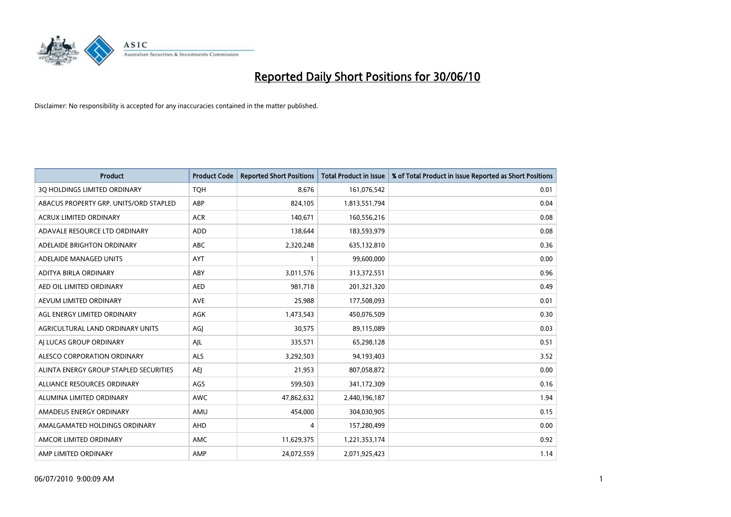

| <b>Product</b>                         | <b>Product Code</b> | <b>Reported Short Positions</b> | <b>Total Product in Issue</b> | % of Total Product in Issue Reported as Short Positions |
|----------------------------------------|---------------------|---------------------------------|-------------------------------|---------------------------------------------------------|
| 3Q HOLDINGS LIMITED ORDINARY           | <b>TOH</b>          | 8,676                           | 161,076,542                   | 0.01                                                    |
| ABACUS PROPERTY GRP. UNITS/ORD STAPLED | ABP                 | 824,105                         | 1,813,551,794                 | 0.04                                                    |
| <b>ACRUX LIMITED ORDINARY</b>          | <b>ACR</b>          | 140,671                         | 160,556,216                   | 0.08                                                    |
| ADAVALE RESOURCE LTD ORDINARY          | <b>ADD</b>          | 138.644                         | 183,593,979                   | 0.08                                                    |
| ADELAIDE BRIGHTON ORDINARY             | ABC                 | 2,320,248                       | 635,132,810                   | 0.36                                                    |
| ADELAIDE MANAGED UNITS                 | AYT                 |                                 | 99,600,000                    | 0.00                                                    |
| ADITYA BIRLA ORDINARY                  | ABY                 | 3,011,576                       | 313,372,551                   | 0.96                                                    |
| AED OIL LIMITED ORDINARY               | <b>AED</b>          | 981,718                         | 201,321,320                   | 0.49                                                    |
| AEVUM LIMITED ORDINARY                 | <b>AVE</b>          | 25,988                          | 177,508,093                   | 0.01                                                    |
| AGL ENERGY LIMITED ORDINARY            | AGK                 | 1,473,543                       | 450,076,509                   | 0.30                                                    |
| AGRICULTURAL LAND ORDINARY UNITS       | AGI                 | 30,575                          | 89,115,089                    | 0.03                                                    |
| AI LUCAS GROUP ORDINARY                | AJL                 | 335,571                         | 65,298,128                    | 0.51                                                    |
| ALESCO CORPORATION ORDINARY            | <b>ALS</b>          | 3,292,503                       | 94,193,403                    | 3.52                                                    |
| ALINTA ENERGY GROUP STAPLED SECURITIES | <b>AEJ</b>          | 21,953                          | 807,058,872                   | 0.00                                                    |
| ALLIANCE RESOURCES ORDINARY            | AGS                 | 599,503                         | 341,172,309                   | 0.16                                                    |
| ALUMINA LIMITED ORDINARY               | <b>AWC</b>          | 47,862,632                      | 2,440,196,187                 | 1.94                                                    |
| AMADEUS ENERGY ORDINARY                | AMU                 | 454,000                         | 304,030,905                   | 0.15                                                    |
| AMALGAMATED HOLDINGS ORDINARY          | AHD                 | 4                               | 157,280,499                   | 0.00                                                    |
| AMCOR LIMITED ORDINARY                 | <b>AMC</b>          | 11,629,375                      | 1,221,353,174                 | 0.92                                                    |
| AMP LIMITED ORDINARY                   | AMP                 | 24,072,559                      | 2,071,925,423                 | 1.14                                                    |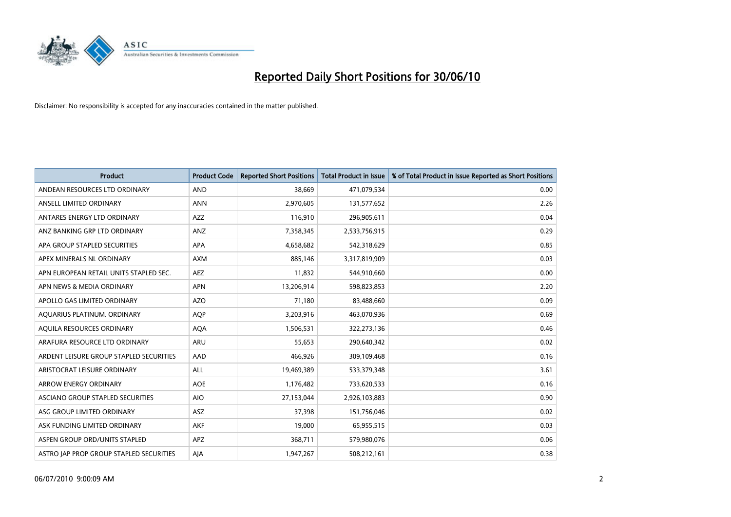

| <b>Product</b>                          | <b>Product Code</b> | <b>Reported Short Positions</b> | <b>Total Product in Issue</b> | % of Total Product in Issue Reported as Short Positions |
|-----------------------------------------|---------------------|---------------------------------|-------------------------------|---------------------------------------------------------|
| ANDEAN RESOURCES LTD ORDINARY           | <b>AND</b>          | 38.669                          | 471,079,534                   | 0.00                                                    |
| ANSELL LIMITED ORDINARY                 | <b>ANN</b>          | 2,970,605                       | 131,577,652                   | 2.26                                                    |
| ANTARES ENERGY LTD ORDINARY             | <b>AZZ</b>          | 116,910                         | 296,905,611                   | 0.04                                                    |
| ANZ BANKING GRP LTD ORDINARY            | ANZ                 | 7,358,345                       | 2,533,756,915                 | 0.29                                                    |
| APA GROUP STAPLED SECURITIES            | APA                 | 4,658,682                       | 542,318,629                   | 0.85                                                    |
| APEX MINERALS NL ORDINARY               | <b>AXM</b>          | 885,146                         | 3,317,819,909                 | 0.03                                                    |
| APN EUROPEAN RETAIL UNITS STAPLED SEC.  | <b>AEZ</b>          | 11,832                          | 544,910,660                   | 0.00                                                    |
| APN NEWS & MEDIA ORDINARY               | <b>APN</b>          | 13,206,914                      | 598,823,853                   | 2.20                                                    |
| APOLLO GAS LIMITED ORDINARY             | <b>AZO</b>          | 71,180                          | 83,488,660                    | 0.09                                                    |
| AQUARIUS PLATINUM. ORDINARY             | <b>AOP</b>          | 3,203,916                       | 463,070,936                   | 0.69                                                    |
| AQUILA RESOURCES ORDINARY               | <b>AQA</b>          | 1,506,531                       | 322,273,136                   | 0.46                                                    |
| ARAFURA RESOURCE LTD ORDINARY           | <b>ARU</b>          | 55,653                          | 290,640,342                   | 0.02                                                    |
| ARDENT LEISURE GROUP STAPLED SECURITIES | AAD                 | 466,926                         | 309,109,468                   | 0.16                                                    |
| ARISTOCRAT LEISURE ORDINARY             | ALL                 | 19,469,389                      | 533,379,348                   | 3.61                                                    |
| <b>ARROW ENERGY ORDINARY</b>            | <b>AOE</b>          | 1,176,482                       | 733,620,533                   | 0.16                                                    |
| ASCIANO GROUP STAPLED SECURITIES        | <b>AIO</b>          | 27,153,044                      | 2,926,103,883                 | 0.90                                                    |
| ASG GROUP LIMITED ORDINARY              | ASZ                 | 37,398                          | 151,756,046                   | 0.02                                                    |
| ASK FUNDING LIMITED ORDINARY            | <b>AKF</b>          | 19,000                          | 65,955,515                    | 0.03                                                    |
| ASPEN GROUP ORD/UNITS STAPLED           | <b>APZ</b>          | 368,711                         | 579,980,076                   | 0.06                                                    |
| ASTRO JAP PROP GROUP STAPLED SECURITIES | AJA                 | 1,947,267                       | 508,212,161                   | 0.38                                                    |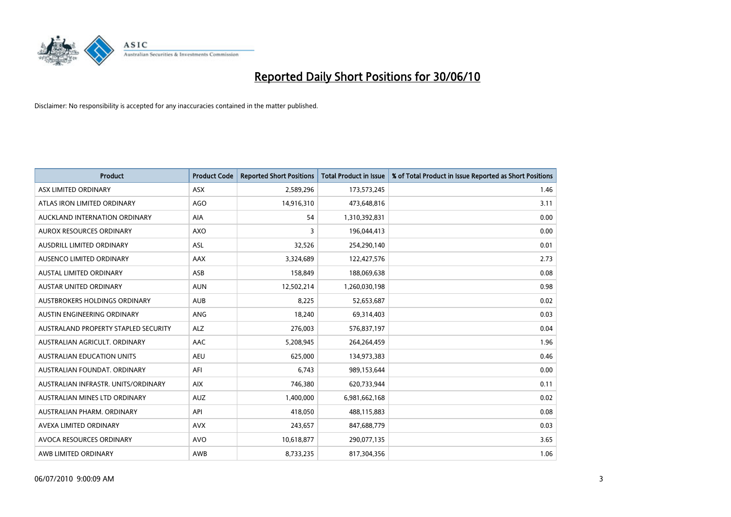

| <b>Product</b>                       | <b>Product Code</b> | <b>Reported Short Positions</b> | Total Product in Issue | % of Total Product in Issue Reported as Short Positions |
|--------------------------------------|---------------------|---------------------------------|------------------------|---------------------------------------------------------|
| ASX LIMITED ORDINARY                 | <b>ASX</b>          | 2,589,296                       | 173,573,245            | 1.46                                                    |
| ATLAS IRON LIMITED ORDINARY          | AGO                 | 14,916,310                      | 473,648,816            | 3.11                                                    |
| AUCKLAND INTERNATION ORDINARY        | AIA                 | 54                              | 1,310,392,831          | 0.00                                                    |
| AUROX RESOURCES ORDINARY             | <b>AXO</b>          | 3                               | 196,044,413            | 0.00                                                    |
| AUSDRILL LIMITED ORDINARY            | <b>ASL</b>          | 32,526                          | 254,290,140            | 0.01                                                    |
| AUSENCO LIMITED ORDINARY             | AAX                 | 3,324,689                       | 122,427,576            | 2.73                                                    |
| AUSTAL LIMITED ORDINARY              | ASB                 | 158,849                         | 188,069,638            | 0.08                                                    |
| AUSTAR UNITED ORDINARY               | <b>AUN</b>          | 12,502,214                      | 1,260,030,198          | 0.98                                                    |
| AUSTBROKERS HOLDINGS ORDINARY        | <b>AUB</b>          | 8,225                           | 52,653,687             | 0.02                                                    |
| AUSTIN ENGINEERING ORDINARY          | ANG                 | 18,240                          | 69,314,403             | 0.03                                                    |
| AUSTRALAND PROPERTY STAPLED SECURITY | <b>ALZ</b>          | 276,003                         | 576,837,197            | 0.04                                                    |
| AUSTRALIAN AGRICULT, ORDINARY        | AAC                 | 5,208,945                       | 264,264,459            | 1.96                                                    |
| AUSTRALIAN EDUCATION UNITS           | <b>AEU</b>          | 625,000                         | 134,973,383            | 0.46                                                    |
| AUSTRALIAN FOUNDAT, ORDINARY         | AFI                 | 6,743                           | 989,153,644            | 0.00                                                    |
| AUSTRALIAN INFRASTR, UNITS/ORDINARY  | <b>AIX</b>          | 746,380                         | 620,733,944            | 0.11                                                    |
| AUSTRALIAN MINES LTD ORDINARY        | <b>AUZ</b>          | 1,400,000                       | 6,981,662,168          | 0.02                                                    |
| AUSTRALIAN PHARM. ORDINARY           | API                 | 418,050                         | 488,115,883            | 0.08                                                    |
| AVEXA LIMITED ORDINARY               | <b>AVX</b>          | 243,657                         | 847,688,779            | 0.03                                                    |
| AVOCA RESOURCES ORDINARY             | <b>AVO</b>          | 10,618,877                      | 290,077,135            | 3.65                                                    |
| AWB LIMITED ORDINARY                 | AWB                 | 8,733,235                       | 817,304,356            | 1.06                                                    |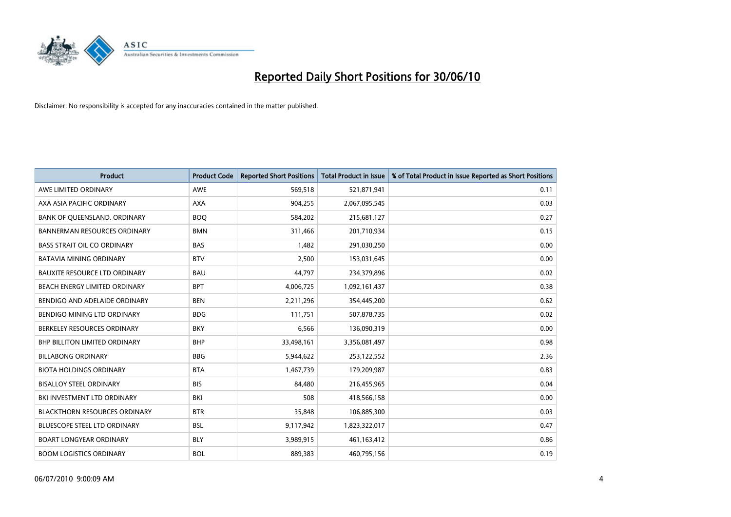

| <b>Product</b>                       | <b>Product Code</b> | <b>Reported Short Positions</b> | <b>Total Product in Issue</b> | % of Total Product in Issue Reported as Short Positions |
|--------------------------------------|---------------------|---------------------------------|-------------------------------|---------------------------------------------------------|
| AWE LIMITED ORDINARY                 | <b>AWE</b>          | 569,518                         | 521,871,941                   | 0.11                                                    |
| AXA ASIA PACIFIC ORDINARY            | <b>AXA</b>          | 904,255                         | 2,067,095,545                 | 0.03                                                    |
| BANK OF QUEENSLAND. ORDINARY         | <b>BOO</b>          | 584,202                         | 215,681,127                   | 0.27                                                    |
| <b>BANNERMAN RESOURCES ORDINARY</b>  | <b>BMN</b>          | 311,466                         | 201,710,934                   | 0.15                                                    |
| <b>BASS STRAIT OIL CO ORDINARY</b>   | <b>BAS</b>          | 1,482                           | 291,030,250                   | 0.00                                                    |
| <b>BATAVIA MINING ORDINARY</b>       | <b>BTV</b>          | 2,500                           | 153,031,645                   | 0.00                                                    |
| <b>BAUXITE RESOURCE LTD ORDINARY</b> | <b>BAU</b>          | 44.797                          | 234,379,896                   | 0.02                                                    |
| BEACH ENERGY LIMITED ORDINARY        | <b>BPT</b>          | 4,006,725                       | 1,092,161,437                 | 0.38                                                    |
| BENDIGO AND ADELAIDE ORDINARY        | <b>BEN</b>          | 2,211,296                       | 354,445,200                   | 0.62                                                    |
| BENDIGO MINING LTD ORDINARY          | <b>BDG</b>          | 111,751                         | 507,878,735                   | 0.02                                                    |
| BERKELEY RESOURCES ORDINARY          | <b>BKY</b>          | 6,566                           | 136,090,319                   | 0.00                                                    |
| <b>BHP BILLITON LIMITED ORDINARY</b> | <b>BHP</b>          | 33,498,161                      | 3,356,081,497                 | 0.98                                                    |
| <b>BILLABONG ORDINARY</b>            | <b>BBG</b>          | 5,944,622                       | 253,122,552                   | 2.36                                                    |
| <b>BIOTA HOLDINGS ORDINARY</b>       | <b>BTA</b>          | 1,467,739                       | 179,209,987                   | 0.83                                                    |
| <b>BISALLOY STEEL ORDINARY</b>       | <b>BIS</b>          | 84,480                          | 216,455,965                   | 0.04                                                    |
| BKI INVESTMENT LTD ORDINARY          | BKI                 | 508                             | 418,566,158                   | 0.00                                                    |
| <b>BLACKTHORN RESOURCES ORDINARY</b> | <b>BTR</b>          | 35,848                          | 106,885,300                   | 0.03                                                    |
| BLUESCOPE STEEL LTD ORDINARY         | <b>BSL</b>          | 9,117,942                       | 1,823,322,017                 | 0.47                                                    |
| <b>BOART LONGYEAR ORDINARY</b>       | <b>BLY</b>          | 3,989,915                       | 461,163,412                   | 0.86                                                    |
| <b>BOOM LOGISTICS ORDINARY</b>       | <b>BOL</b>          | 889.383                         | 460,795,156                   | 0.19                                                    |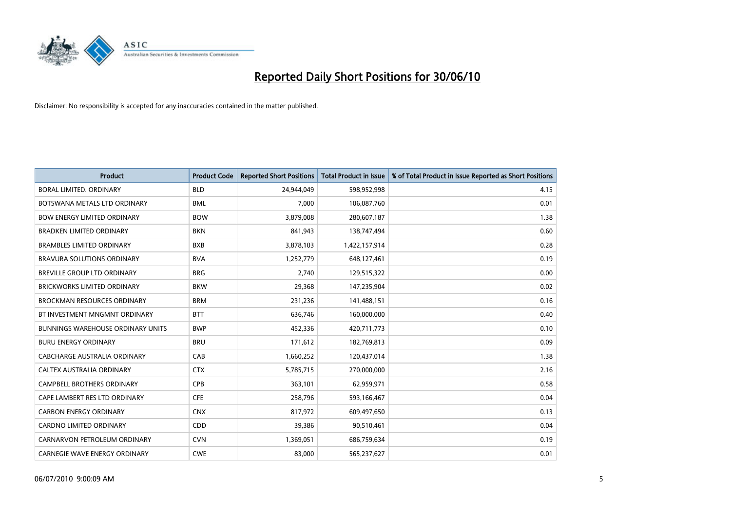

| <b>Product</b>                           | <b>Product Code</b> | <b>Reported Short Positions</b> | <b>Total Product in Issue</b> | % of Total Product in Issue Reported as Short Positions |
|------------------------------------------|---------------------|---------------------------------|-------------------------------|---------------------------------------------------------|
| <b>BORAL LIMITED, ORDINARY</b>           | <b>BLD</b>          | 24,944,049                      | 598,952,998                   | 4.15                                                    |
| BOTSWANA METALS LTD ORDINARY             | <b>BML</b>          | 7,000                           | 106,087,760                   | 0.01                                                    |
| <b>BOW ENERGY LIMITED ORDINARY</b>       | <b>BOW</b>          | 3,879,008                       | 280,607,187                   | 1.38                                                    |
| <b>BRADKEN LIMITED ORDINARY</b>          | <b>BKN</b>          | 841,943                         | 138,747,494                   | 0.60                                                    |
| <b>BRAMBLES LIMITED ORDINARY</b>         | <b>BXB</b>          | 3,878,103                       | 1,422,157,914                 | 0.28                                                    |
| <b>BRAVURA SOLUTIONS ORDINARY</b>        | <b>BVA</b>          | 1,252,779                       | 648,127,461                   | 0.19                                                    |
| BREVILLE GROUP LTD ORDINARY              | <b>BRG</b>          | 2,740                           | 129,515,322                   | 0.00                                                    |
| BRICKWORKS LIMITED ORDINARY              | <b>BKW</b>          | 29,368                          | 147,235,904                   | 0.02                                                    |
| <b>BROCKMAN RESOURCES ORDINARY</b>       | <b>BRM</b>          | 231,236                         | 141,488,151                   | 0.16                                                    |
| BT INVESTMENT MNGMNT ORDINARY            | <b>BTT</b>          | 636,746                         | 160,000,000                   | 0.40                                                    |
| <b>BUNNINGS WAREHOUSE ORDINARY UNITS</b> | <b>BWP</b>          | 452,336                         | 420,711,773                   | 0.10                                                    |
| <b>BURU ENERGY ORDINARY</b>              | <b>BRU</b>          | 171,612                         | 182,769,813                   | 0.09                                                    |
| CABCHARGE AUSTRALIA ORDINARY             | CAB                 | 1,660,252                       | 120,437,014                   | 1.38                                                    |
| <b>CALTEX AUSTRALIA ORDINARY</b>         | <b>CTX</b>          | 5,785,715                       | 270,000,000                   | 2.16                                                    |
| <b>CAMPBELL BROTHERS ORDINARY</b>        | <b>CPB</b>          | 363,101                         | 62,959,971                    | 0.58                                                    |
| CAPE LAMBERT RES LTD ORDINARY            | <b>CFE</b>          | 258,796                         | 593,166,467                   | 0.04                                                    |
| <b>CARBON ENERGY ORDINARY</b>            | <b>CNX</b>          | 817,972                         | 609,497,650                   | 0.13                                                    |
| CARDNO LIMITED ORDINARY                  | CDD                 | 39,386                          | 90,510,461                    | 0.04                                                    |
| CARNARVON PETROLEUM ORDINARY             | <b>CVN</b>          | 1,369,051                       | 686,759,634                   | 0.19                                                    |
| <b>CARNEGIE WAVE ENERGY ORDINARY</b>     | <b>CWE</b>          | 83,000                          | 565,237,627                   | 0.01                                                    |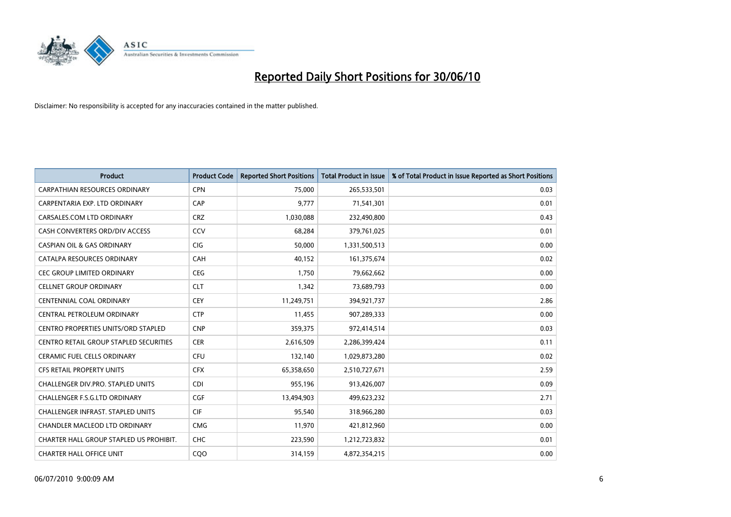![](_page_5_Picture_0.jpeg)

| <b>Product</b>                                | <b>Product Code</b> | <b>Reported Short Positions</b> | Total Product in Issue | % of Total Product in Issue Reported as Short Positions |
|-----------------------------------------------|---------------------|---------------------------------|------------------------|---------------------------------------------------------|
| <b>CARPATHIAN RESOURCES ORDINARY</b>          | <b>CPN</b>          | 75.000                          | 265,533,501            | 0.03                                                    |
| CARPENTARIA EXP. LTD ORDINARY                 | CAP                 | 9,777                           | 71,541,301             | 0.01                                                    |
| CARSALES.COM LTD ORDINARY                     | <b>CRZ</b>          | 1,030,088                       | 232,490,800            | 0.43                                                    |
| CASH CONVERTERS ORD/DIV ACCESS                | CCV                 | 68,284                          | 379,761,025            | 0.01                                                    |
| <b>CASPIAN OIL &amp; GAS ORDINARY</b>         | <b>CIG</b>          | 50,000                          | 1,331,500,513          | 0.00                                                    |
| CATALPA RESOURCES ORDINARY                    | CAH                 | 40,152                          | 161,375,674            | 0.02                                                    |
| <b>CEC GROUP LIMITED ORDINARY</b>             | <b>CEG</b>          | 1.750                           | 79,662,662             | 0.00                                                    |
| <b>CELLNET GROUP ORDINARY</b>                 | <b>CLT</b>          | 1,342                           | 73,689,793             | 0.00                                                    |
| CENTENNIAL COAL ORDINARY                      | <b>CEY</b>          | 11,249,751                      | 394,921,737            | 2.86                                                    |
| CENTRAL PETROLEUM ORDINARY                    | <b>CTP</b>          | 11,455                          | 907,289,333            | 0.00                                                    |
| <b>CENTRO PROPERTIES UNITS/ORD STAPLED</b>    | <b>CNP</b>          | 359,375                         | 972,414,514            | 0.03                                                    |
| <b>CENTRO RETAIL GROUP STAPLED SECURITIES</b> | <b>CER</b>          | 2,616,509                       | 2,286,399,424          | 0.11                                                    |
| <b>CERAMIC FUEL CELLS ORDINARY</b>            | <b>CFU</b>          | 132,140                         | 1,029,873,280          | 0.02                                                    |
| <b>CFS RETAIL PROPERTY UNITS</b>              | <b>CFX</b>          | 65,358,650                      | 2,510,727,671          | 2.59                                                    |
| <b>CHALLENGER DIV.PRO. STAPLED UNITS</b>      | <b>CDI</b>          | 955,196                         | 913,426,007            | 0.09                                                    |
| CHALLENGER F.S.G.LTD ORDINARY                 | <b>CGF</b>          | 13,494,903                      | 499,623,232            | 2.71                                                    |
| <b>CHALLENGER INFRAST, STAPLED UNITS</b>      | <b>CIF</b>          | 95,540                          | 318,966,280            | 0.03                                                    |
| CHANDLER MACLEOD LTD ORDINARY                 | <b>CMG</b>          | 11,970                          | 421,812,960            | 0.00                                                    |
| CHARTER HALL GROUP STAPLED US PROHIBIT.       | <b>CHC</b>          | 223,590                         | 1,212,723,832          | 0.01                                                    |
| <b>CHARTER HALL OFFICE UNIT</b>               | COO                 | 314,159                         | 4,872,354,215          | 0.00                                                    |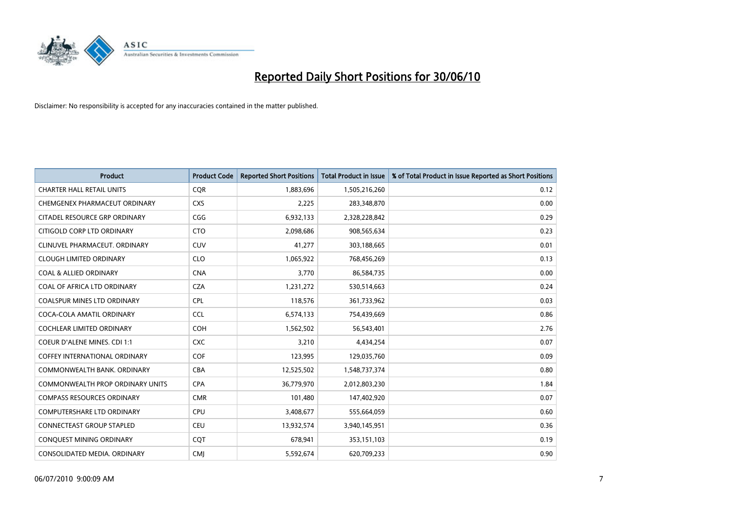![](_page_6_Picture_0.jpeg)

| <b>Product</b>                       | <b>Product Code</b> | <b>Reported Short Positions</b> | <b>Total Product in Issue</b> | % of Total Product in Issue Reported as Short Positions |
|--------------------------------------|---------------------|---------------------------------|-------------------------------|---------------------------------------------------------|
| <b>CHARTER HALL RETAIL UNITS</b>     | <b>CQR</b>          | 1,883,696                       | 1,505,216,260                 | 0.12                                                    |
| CHEMGENEX PHARMACEUT ORDINARY        | <b>CXS</b>          | 2,225                           | 283,348,870                   | 0.00                                                    |
| CITADEL RESOURCE GRP ORDINARY        | CGG                 | 6,932,133                       | 2,328,228,842                 | 0.29                                                    |
| CITIGOLD CORP LTD ORDINARY           | <b>CTO</b>          | 2,098,686                       | 908,565,634                   | 0.23                                                    |
| CLINUVEL PHARMACEUT, ORDINARY        | <b>CUV</b>          | 41,277                          | 303,188,665                   | 0.01                                                    |
| <b>CLOUGH LIMITED ORDINARY</b>       | <b>CLO</b>          | 1,065,922                       | 768,456,269                   | 0.13                                                    |
| <b>COAL &amp; ALLIED ORDINARY</b>    | <b>CNA</b>          | 3,770                           | 86,584,735                    | 0.00                                                    |
| COAL OF AFRICA LTD ORDINARY          | <b>CZA</b>          | 1,231,272                       | 530,514,663                   | 0.24                                                    |
| COALSPUR MINES LTD ORDINARY          | <b>CPL</b>          | 118,576                         | 361,733,962                   | 0.03                                                    |
| COCA-COLA AMATIL ORDINARY            | <b>CCL</b>          | 6,574,133                       | 754,439,669                   | 0.86                                                    |
| <b>COCHLEAR LIMITED ORDINARY</b>     | COH                 | 1,562,502                       | 56,543,401                    | 2.76                                                    |
| COEUR D'ALENE MINES. CDI 1:1         | <b>CXC</b>          | 3,210                           | 4,434,254                     | 0.07                                                    |
| <b>COFFEY INTERNATIONAL ORDINARY</b> | <b>COF</b>          | 123,995                         | 129,035,760                   | 0.09                                                    |
| COMMONWEALTH BANK, ORDINARY          | <b>CBA</b>          | 12,525,502                      | 1,548,737,374                 | 0.80                                                    |
| COMMONWEALTH PROP ORDINARY UNITS     | <b>CPA</b>          | 36,779,970                      | 2,012,803,230                 | 1.84                                                    |
| <b>COMPASS RESOURCES ORDINARY</b>    | <b>CMR</b>          | 101,480                         | 147,402,920                   | 0.07                                                    |
| <b>COMPUTERSHARE LTD ORDINARY</b>    | <b>CPU</b>          | 3,408,677                       | 555,664,059                   | 0.60                                                    |
| CONNECTEAST GROUP STAPLED            | CEU                 | 13,932,574                      | 3,940,145,951                 | 0.36                                                    |
| CONQUEST MINING ORDINARY             | COT                 | 678,941                         | 353,151,103                   | 0.19                                                    |
| CONSOLIDATED MEDIA. ORDINARY         | <b>CMI</b>          | 5,592,674                       | 620,709,233                   | 0.90                                                    |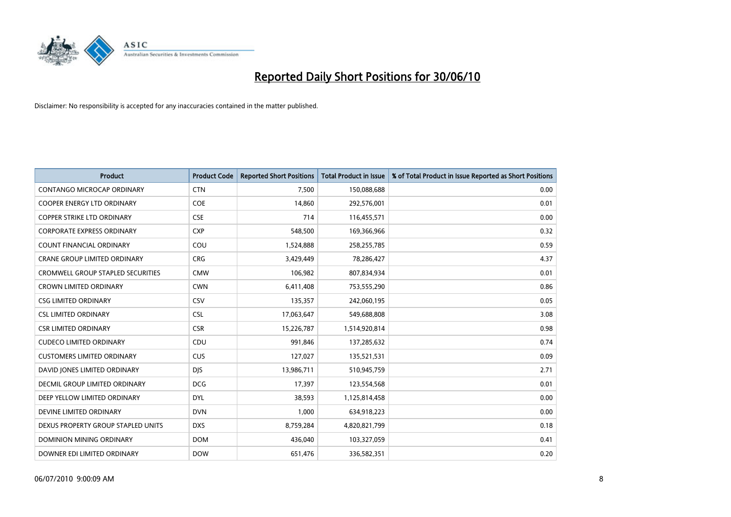![](_page_7_Picture_0.jpeg)

| <b>Product</b>                           | <b>Product Code</b> | <b>Reported Short Positions</b> | <b>Total Product in Issue</b> | % of Total Product in Issue Reported as Short Positions |
|------------------------------------------|---------------------|---------------------------------|-------------------------------|---------------------------------------------------------|
| <b>CONTANGO MICROCAP ORDINARY</b>        | <b>CTN</b>          | 7.500                           | 150,088,688                   | 0.00                                                    |
| <b>COOPER ENERGY LTD ORDINARY</b>        | <b>COE</b>          | 14,860                          | 292,576,001                   | 0.01                                                    |
| <b>COPPER STRIKE LTD ORDINARY</b>        | <b>CSE</b>          | 714                             | 116,455,571                   | 0.00                                                    |
| <b>CORPORATE EXPRESS ORDINARY</b>        | <b>CXP</b>          | 548,500                         | 169,366,966                   | 0.32                                                    |
| <b>COUNT FINANCIAL ORDINARY</b>          | COU                 | 1,524,888                       | 258,255,785                   | 0.59                                                    |
| <b>CRANE GROUP LIMITED ORDINARY</b>      | <b>CRG</b>          | 3,429,449                       | 78,286,427                    | 4.37                                                    |
| <b>CROMWELL GROUP STAPLED SECURITIES</b> | <b>CMW</b>          | 106,982                         | 807,834,934                   | 0.01                                                    |
| <b>CROWN LIMITED ORDINARY</b>            | <b>CWN</b>          | 6,411,408                       | 753,555,290                   | 0.86                                                    |
| <b>CSG LIMITED ORDINARY</b>              | CSV                 | 135,357                         | 242,060,195                   | 0.05                                                    |
| <b>CSL LIMITED ORDINARY</b>              | <b>CSL</b>          | 17,063,647                      | 549,688,808                   | 3.08                                                    |
| <b>CSR LIMITED ORDINARY</b>              | <b>CSR</b>          | 15,226,787                      | 1,514,920,814                 | 0.98                                                    |
| <b>CUDECO LIMITED ORDINARY</b>           | CDU                 | 991,846                         | 137,285,632                   | 0.74                                                    |
| <b>CUSTOMERS LIMITED ORDINARY</b>        | CUS                 | 127,027                         | 135,521,531                   | 0.09                                                    |
| DAVID JONES LIMITED ORDINARY             | <b>DJS</b>          | 13,986,711                      | 510,945,759                   | 2.71                                                    |
| DECMIL GROUP LIMITED ORDINARY            | <b>DCG</b>          | 17.397                          | 123,554,568                   | 0.01                                                    |
| DEEP YELLOW LIMITED ORDINARY             | <b>DYL</b>          | 38,593                          | 1,125,814,458                 | 0.00                                                    |
| DEVINE LIMITED ORDINARY                  | <b>DVN</b>          | 1,000                           | 634,918,223                   | 0.00                                                    |
| DEXUS PROPERTY GROUP STAPLED UNITS       | <b>DXS</b>          | 8,759,284                       | 4,820,821,799                 | 0.18                                                    |
| DOMINION MINING ORDINARY                 | <b>DOM</b>          | 436,040                         | 103,327,059                   | 0.41                                                    |
| DOWNER EDI LIMITED ORDINARY              | <b>DOW</b>          | 651,476                         | 336,582,351                   | 0.20                                                    |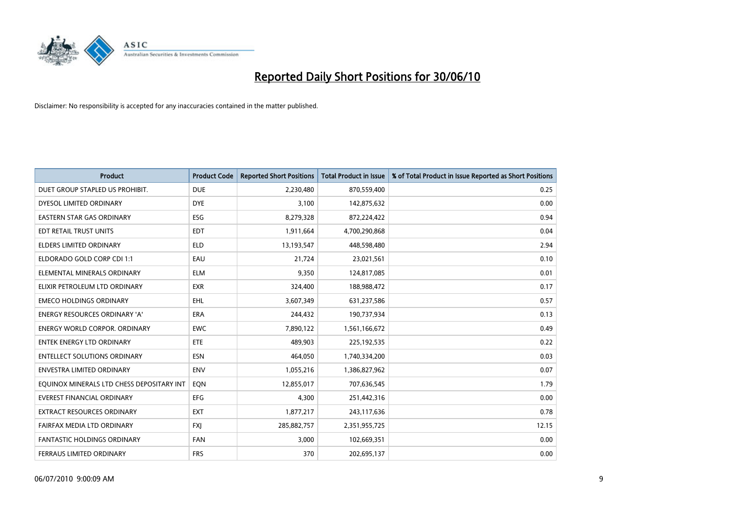![](_page_8_Picture_0.jpeg)

| <b>Product</b>                            | <b>Product Code</b> | <b>Reported Short Positions</b> | Total Product in Issue | % of Total Product in Issue Reported as Short Positions |
|-------------------------------------------|---------------------|---------------------------------|------------------------|---------------------------------------------------------|
| DUET GROUP STAPLED US PROHIBIT.           | <b>DUE</b>          | 2,230,480                       | 870,559,400            | 0.25                                                    |
| DYESOL LIMITED ORDINARY                   | <b>DYE</b>          | 3.100                           | 142,875,632            | 0.00                                                    |
| EASTERN STAR GAS ORDINARY                 | ESG                 | 8,279,328                       | 872,224,422            | 0.94                                                    |
| EDT RETAIL TRUST UNITS                    | <b>EDT</b>          | 1,911,664                       | 4,700,290,868          | 0.04                                                    |
| <b>ELDERS LIMITED ORDINARY</b>            | <b>ELD</b>          | 13,193,547                      | 448,598,480            | 2.94                                                    |
| ELDORADO GOLD CORP CDI 1:1                | EAU                 | 21,724                          | 23,021,561             | 0.10                                                    |
| ELEMENTAL MINERALS ORDINARY               | <b>ELM</b>          | 9.350                           | 124,817,085            | 0.01                                                    |
| ELIXIR PETROLEUM LTD ORDINARY             | <b>EXR</b>          | 324,400                         | 188,988,472            | 0.17                                                    |
| <b>EMECO HOLDINGS ORDINARY</b>            | <b>EHL</b>          | 3,607,349                       | 631,237,586            | 0.57                                                    |
| <b>ENERGY RESOURCES ORDINARY 'A'</b>      | <b>ERA</b>          | 244.432                         | 190,737,934            | 0.13                                                    |
| <b>ENERGY WORLD CORPOR, ORDINARY</b>      | <b>EWC</b>          | 7,890,122                       | 1,561,166,672          | 0.49                                                    |
| <b>ENTEK ENERGY LTD ORDINARY</b>          | ETE                 | 489,903                         | 225, 192, 535          | 0.22                                                    |
| <b>ENTELLECT SOLUTIONS ORDINARY</b>       | <b>ESN</b>          | 464.050                         | 1,740,334,200          | 0.03                                                    |
| <b>ENVESTRA LIMITED ORDINARY</b>          | <b>ENV</b>          | 1,055,216                       | 1,386,827,962          | 0.07                                                    |
| EQUINOX MINERALS LTD CHESS DEPOSITARY INT | EQN                 | 12,855,017                      | 707,636,545            | 1.79                                                    |
| <b>EVEREST FINANCIAL ORDINARY</b>         | <b>EFG</b>          | 4.300                           | 251,442,316            | 0.00                                                    |
| <b>EXTRACT RESOURCES ORDINARY</b>         | <b>EXT</b>          | 1,877,217                       | 243,117,636            | 0.78                                                    |
| FAIRFAX MEDIA LTD ORDINARY                | <b>FXI</b>          | 285,882,757                     | 2,351,955,725          | 12.15                                                   |
| <b>FANTASTIC HOLDINGS ORDINARY</b>        | <b>FAN</b>          | 3,000                           | 102,669,351            | 0.00                                                    |
| FERRAUS LIMITED ORDINARY                  | <b>FRS</b>          | 370                             | 202,695,137            | 0.00                                                    |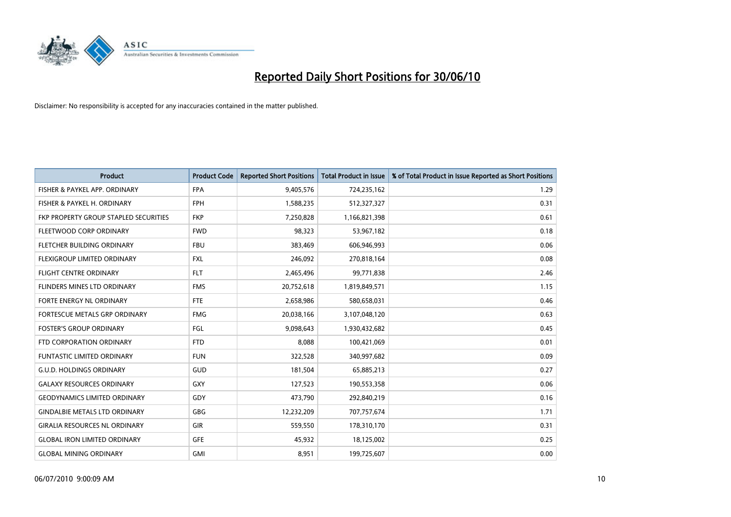![](_page_9_Picture_0.jpeg)

| <b>Product</b>                        | <b>Product Code</b> | <b>Reported Short Positions</b> | <b>Total Product in Issue</b> | % of Total Product in Issue Reported as Short Positions |
|---------------------------------------|---------------------|---------------------------------|-------------------------------|---------------------------------------------------------|
| FISHER & PAYKEL APP. ORDINARY         | <b>FPA</b>          | 9,405,576                       | 724,235,162                   | 1.29                                                    |
| FISHER & PAYKEL H. ORDINARY           | <b>FPH</b>          | 1,588,235                       | 512,327,327                   | 0.31                                                    |
| FKP PROPERTY GROUP STAPLED SECURITIES | <b>FKP</b>          | 7,250,828                       | 1,166,821,398                 | 0.61                                                    |
| FLEETWOOD CORP ORDINARY               | <b>FWD</b>          | 98,323                          | 53,967,182                    | 0.18                                                    |
| FLETCHER BUILDING ORDINARY            | <b>FBU</b>          | 383,469                         | 606,946,993                   | 0.06                                                    |
| FLEXIGROUP LIMITED ORDINARY           | <b>FXL</b>          | 246,092                         | 270,818,164                   | 0.08                                                    |
| <b>FLIGHT CENTRE ORDINARY</b>         | <b>FLT</b>          | 2,465,496                       | 99,771,838                    | 2.46                                                    |
| FLINDERS MINES LTD ORDINARY           | <b>FMS</b>          | 20,752,618                      | 1,819,849,571                 | 1.15                                                    |
| FORTE ENERGY NL ORDINARY              | <b>FTE</b>          | 2,658,986                       | 580,658,031                   | 0.46                                                    |
| FORTESCUE METALS GRP ORDINARY         | <b>FMG</b>          | 20,038,166                      | 3,107,048,120                 | 0.63                                                    |
| <b>FOSTER'S GROUP ORDINARY</b>        | FGL                 | 9,098,643                       | 1,930,432,682                 | 0.45                                                    |
| FTD CORPORATION ORDINARY              | <b>FTD</b>          | 8,088                           | 100,421,069                   | 0.01                                                    |
| <b>FUNTASTIC LIMITED ORDINARY</b>     | <b>FUN</b>          | 322,528                         | 340,997,682                   | 0.09                                                    |
| <b>G.U.D. HOLDINGS ORDINARY</b>       | GUD                 | 181,504                         | 65,885,213                    | 0.27                                                    |
| <b>GALAXY RESOURCES ORDINARY</b>      | <b>GXY</b>          | 127,523                         | 190,553,358                   | 0.06                                                    |
| <b>GEODYNAMICS LIMITED ORDINARY</b>   | GDY                 | 473,790                         | 292,840,219                   | 0.16                                                    |
| <b>GINDALBIE METALS LTD ORDINARY</b>  | GBG                 | 12,232,209                      | 707,757,674                   | 1.71                                                    |
| <b>GIRALIA RESOURCES NL ORDINARY</b>  | <b>GIR</b>          | 559,550                         | 178,310,170                   | 0.31                                                    |
| <b>GLOBAL IRON LIMITED ORDINARY</b>   | <b>GFE</b>          | 45,932                          | 18,125,002                    | 0.25                                                    |
| <b>GLOBAL MINING ORDINARY</b>         | <b>GMI</b>          | 8,951                           | 199,725,607                   | 0.00                                                    |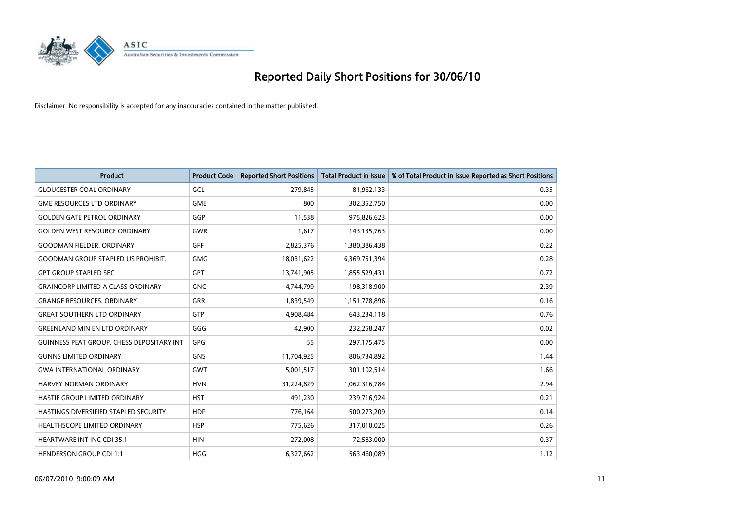![](_page_10_Picture_0.jpeg)

| <b>Product</b>                                   | <b>Product Code</b> | <b>Reported Short Positions</b> | <b>Total Product in Issue</b> | % of Total Product in Issue Reported as Short Positions |
|--------------------------------------------------|---------------------|---------------------------------|-------------------------------|---------------------------------------------------------|
| <b>GLOUCESTER COAL ORDINARY</b>                  | GCL                 | 279,845                         | 81,962,133                    | 0.35                                                    |
| <b>GME RESOURCES LTD ORDINARY</b>                | <b>GME</b>          | 800                             | 302,352,750                   | 0.00                                                    |
| <b>GOLDEN GATE PETROL ORDINARY</b>               | GGP                 | 11,538                          | 975,826,623                   | 0.00                                                    |
| <b>GOLDEN WEST RESOURCE ORDINARY</b>             | <b>GWR</b>          | 1,617                           | 143,135,763                   | 0.00                                                    |
| <b>GOODMAN FIELDER, ORDINARY</b>                 | <b>GFF</b>          | 2,825,376                       | 1,380,386,438                 | 0.22                                                    |
| <b>GOODMAN GROUP STAPLED US PROHIBIT.</b>        | <b>GMG</b>          | 18,031,622                      | 6,369,751,394                 | 0.28                                                    |
| <b>GPT GROUP STAPLED SEC.</b>                    | <b>GPT</b>          | 13,741,905                      | 1,855,529,431                 | 0.72                                                    |
| <b>GRAINCORP LIMITED A CLASS ORDINARY</b>        | <b>GNC</b>          | 4,744,799                       | 198,318,900                   | 2.39                                                    |
| <b>GRANGE RESOURCES, ORDINARY</b>                | <b>GRR</b>          | 1,839,549                       | 1,151,778,896                 | 0.16                                                    |
| <b>GREAT SOUTHERN LTD ORDINARY</b>               | <b>GTP</b>          | 4,908,484                       | 643,234,118                   | 0.76                                                    |
| <b>GREENLAND MIN EN LTD ORDINARY</b>             | GGG                 | 42,900                          | 232,258,247                   | 0.02                                                    |
| <b>GUINNESS PEAT GROUP. CHESS DEPOSITARY INT</b> | GPG                 | 55                              | 297,175,475                   | 0.00                                                    |
| <b>GUNNS LIMITED ORDINARY</b>                    | <b>GNS</b>          | 11,704,925                      | 806,734,892                   | 1.44                                                    |
| <b>GWA INTERNATIONAL ORDINARY</b>                | <b>GWT</b>          | 5,001,517                       | 301,102,514                   | 1.66                                                    |
| HARVEY NORMAN ORDINARY                           | <b>HVN</b>          | 31,224,829                      | 1,062,316,784                 | 2.94                                                    |
| HASTIE GROUP LIMITED ORDINARY                    | <b>HST</b>          | 491,230                         | 239,716,924                   | 0.21                                                    |
| HASTINGS DIVERSIFIED STAPLED SECURITY            | <b>HDF</b>          | 776,164                         | 500,273,209                   | 0.14                                                    |
| HEALTHSCOPE LIMITED ORDINARY                     | <b>HSP</b>          | 775,626                         | 317,010,025                   | 0.26                                                    |
| <b>HEARTWARE INT INC CDI 35:1</b>                | <b>HIN</b>          | 272,008                         | 72,583,000                    | 0.37                                                    |
| <b>HENDERSON GROUP CDI 1:1</b>                   | <b>HGG</b>          | 6,327,662                       | 563,460,089                   | 1.12                                                    |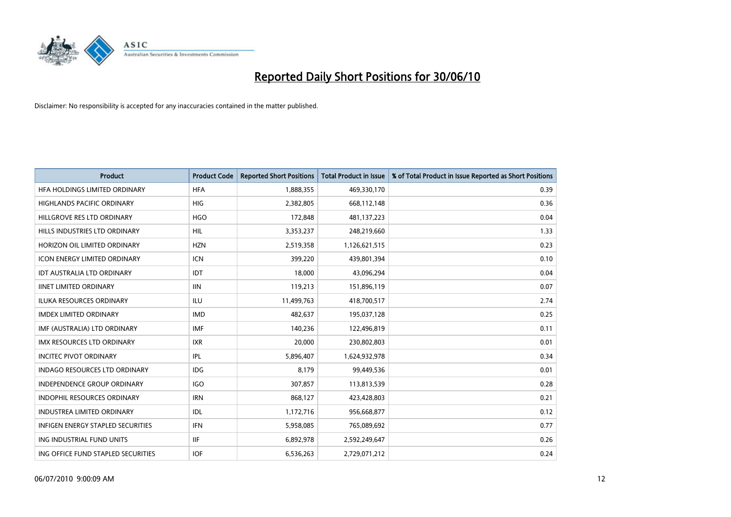![](_page_11_Picture_0.jpeg)

| <b>Product</b>                       | <b>Product Code</b> | <b>Reported Short Positions</b> | <b>Total Product in Issue</b> | % of Total Product in Issue Reported as Short Positions |
|--------------------------------------|---------------------|---------------------------------|-------------------------------|---------------------------------------------------------|
| HFA HOLDINGS LIMITED ORDINARY        | <b>HFA</b>          | 1,888,355                       | 469,330,170                   | 0.39                                                    |
| <b>HIGHLANDS PACIFIC ORDINARY</b>    | <b>HIG</b>          | 2,382,805                       | 668,112,148                   | 0.36                                                    |
| HILLGROVE RES LTD ORDINARY           | <b>HGO</b>          | 172,848                         | 481,137,223                   | 0.04                                                    |
| HILLS INDUSTRIES LTD ORDINARY        | HIL                 | 3,353,237                       | 248,219,660                   | 1.33                                                    |
| HORIZON OIL LIMITED ORDINARY         | <b>HZN</b>          | 2,519,358                       | 1,126,621,515                 | 0.23                                                    |
| <b>ICON ENERGY LIMITED ORDINARY</b>  | <b>ICN</b>          | 399,220                         | 439,801,394                   | 0.10                                                    |
| <b>IDT AUSTRALIA LTD ORDINARY</b>    | IDT                 | 18.000                          | 43,096,294                    | 0.04                                                    |
| <b>IINET LIMITED ORDINARY</b>        | <b>IIN</b>          | 119,213                         | 151,896,119                   | 0.07                                                    |
| ILUKA RESOURCES ORDINARY             | ILU                 | 11,499,763                      | 418,700,517                   | 2.74                                                    |
| <b>IMDEX LIMITED ORDINARY</b>        | <b>IMD</b>          | 482,637                         | 195,037,128                   | 0.25                                                    |
| IMF (AUSTRALIA) LTD ORDINARY         | <b>IMF</b>          | 140,236                         | 122,496,819                   | 0.11                                                    |
| <b>IMX RESOURCES LTD ORDINARY</b>    | <b>IXR</b>          | 20,000                          | 230,802,803                   | 0.01                                                    |
| <b>INCITEC PIVOT ORDINARY</b>        | <b>IPL</b>          | 5,896,407                       | 1,624,932,978                 | 0.34                                                    |
| <b>INDAGO RESOURCES LTD ORDINARY</b> | IDG                 | 8.179                           | 99,449,536                    | 0.01                                                    |
| <b>INDEPENDENCE GROUP ORDINARY</b>   | <b>IGO</b>          | 307,857                         | 113,813,539                   | 0.28                                                    |
| <b>INDOPHIL RESOURCES ORDINARY</b>   | <b>IRN</b>          | 868,127                         | 423,428,803                   | 0.21                                                    |
| <b>INDUSTREA LIMITED ORDINARY</b>    | IDL                 | 1,172,716                       | 956,668,877                   | 0.12                                                    |
| INFIGEN ENERGY STAPLED SECURITIES    | <b>IFN</b>          | 5,958,085                       | 765,089,692                   | 0.77                                                    |
| ING INDUSTRIAL FUND UNITS            | <b>IIF</b>          | 6,892,978                       | 2,592,249,647                 | 0.26                                                    |
| ING OFFICE FUND STAPLED SECURITIES   | <b>IOF</b>          | 6,536,263                       | 2,729,071,212                 | 0.24                                                    |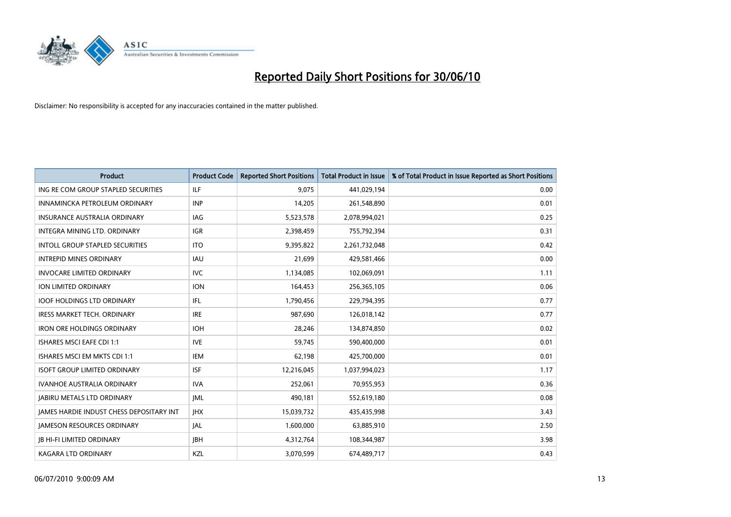![](_page_12_Picture_0.jpeg)

| <b>Product</b>                                  | <b>Product Code</b> | <b>Reported Short Positions</b> | <b>Total Product in Issue</b> | % of Total Product in Issue Reported as Short Positions |
|-------------------------------------------------|---------------------|---------------------------------|-------------------------------|---------------------------------------------------------|
| ING RE COM GROUP STAPLED SECURITIES             | <b>ILF</b>          | 9,075                           | 441,029,194                   | 0.00                                                    |
| INNAMINCKA PETROLEUM ORDINARY                   | <b>INP</b>          | 14,205                          | 261,548,890                   | 0.01                                                    |
| <b>INSURANCE AUSTRALIA ORDINARY</b>             | <b>IAG</b>          | 5,523,578                       | 2,078,994,021                 | 0.25                                                    |
| INTEGRA MINING LTD. ORDINARY                    | <b>IGR</b>          | 2,398,459                       | 755,792,394                   | 0.31                                                    |
| <b>INTOLL GROUP STAPLED SECURITIES</b>          | <b>ITO</b>          | 9,395,822                       | 2,261,732,048                 | 0.42                                                    |
| <b>INTREPID MINES ORDINARY</b>                  | <b>IAU</b>          | 21,699                          | 429,581,466                   | 0.00                                                    |
| <b>INVOCARE LIMITED ORDINARY</b>                | <b>IVC</b>          | 1,134,085                       | 102,069,091                   | 1.11                                                    |
| ION LIMITED ORDINARY                            | <b>ION</b>          | 164,453                         | 256,365,105                   | 0.06                                                    |
| <b>IOOF HOLDINGS LTD ORDINARY</b>               | <b>IFL</b>          | 1,790,456                       | 229,794,395                   | 0.77                                                    |
| <b>IRESS MARKET TECH. ORDINARY</b>              | <b>IRE</b>          | 987,690                         | 126,018,142                   | 0.77                                                    |
| <b>IRON ORE HOLDINGS ORDINARY</b>               | <b>IOH</b>          | 28,246                          | 134,874,850                   | 0.02                                                    |
| ISHARES MSCI EAFE CDI 1:1                       | <b>IVE</b>          | 59,745                          | 590,400,000                   | 0.01                                                    |
| ISHARES MSCI EM MKTS CDI 1:1                    | <b>IEM</b>          | 62,198                          | 425,700,000                   | 0.01                                                    |
| <b>ISOFT GROUP LIMITED ORDINARY</b>             | <b>ISF</b>          | 12,216,045                      | 1,037,994,023                 | 1.17                                                    |
| <b>IVANHOE AUSTRALIA ORDINARY</b>               | <b>IVA</b>          | 252,061                         | 70,955,953                    | 0.36                                                    |
| <b>JABIRU METALS LTD ORDINARY</b>               | <b>JML</b>          | 490.181                         | 552,619,180                   | 0.08                                                    |
| <b>JAMES HARDIE INDUST CHESS DEPOSITARY INT</b> | <b>IHX</b>          | 15,039,732                      | 435,435,998                   | 3.43                                                    |
| <b>JAMESON RESOURCES ORDINARY</b>               | JAL                 | 1,600,000                       | 63,885,910                    | 2.50                                                    |
| <b>JB HI-FI LIMITED ORDINARY</b>                | <b>JBH</b>          | 4,312,764                       | 108,344,987                   | 3.98                                                    |
| KAGARA LTD ORDINARY                             | KZL                 | 3,070,599                       | 674,489,717                   | 0.43                                                    |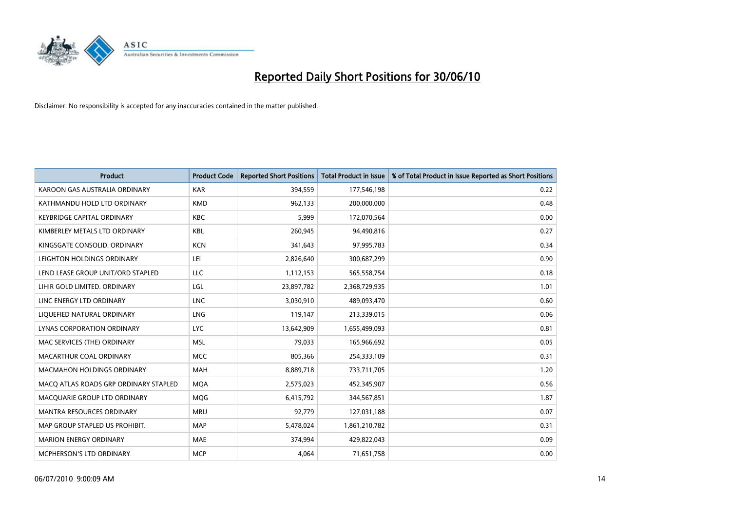![](_page_13_Picture_0.jpeg)

| <b>Product</b>                        | <b>Product Code</b> | <b>Reported Short Positions</b> | Total Product in Issue | % of Total Product in Issue Reported as Short Positions |
|---------------------------------------|---------------------|---------------------------------|------------------------|---------------------------------------------------------|
| KAROON GAS AUSTRALIA ORDINARY         | <b>KAR</b>          | 394,559                         | 177,546,198            | 0.22                                                    |
| KATHMANDU HOLD LTD ORDINARY           | <b>KMD</b>          | 962,133                         | 200,000,000            | 0.48                                                    |
| <b>KEYBRIDGE CAPITAL ORDINARY</b>     | <b>KBC</b>          | 5,999                           | 172,070,564            | 0.00                                                    |
| KIMBERLEY METALS LTD ORDINARY         | <b>KBL</b>          | 260,945                         | 94,490,816             | 0.27                                                    |
| KINGSGATE CONSOLID. ORDINARY          | <b>KCN</b>          | 341,643                         | 97,995,783             | 0.34                                                    |
| LEIGHTON HOLDINGS ORDINARY            | LEI                 | 2,826,640                       | 300,687,299            | 0.90                                                    |
| LEND LEASE GROUP UNIT/ORD STAPLED     | LLC                 | 1,112,153                       | 565,558,754            | 0.18                                                    |
| LIHIR GOLD LIMITED. ORDINARY          | LGL                 | 23,897,782                      | 2,368,729,935          | 1.01                                                    |
| LINC ENERGY LTD ORDINARY              | <b>LNC</b>          | 3,030,910                       | 489,093,470            | 0.60                                                    |
| LIQUEFIED NATURAL ORDINARY            | <b>LNG</b>          | 119,147                         | 213,339,015            | 0.06                                                    |
| LYNAS CORPORATION ORDINARY            | <b>LYC</b>          | 13,642,909                      | 1,655,499,093          | 0.81                                                    |
| MAC SERVICES (THE) ORDINARY           | <b>MSL</b>          | 79,033                          | 165,966,692            | 0.05                                                    |
| MACARTHUR COAL ORDINARY               | <b>MCC</b>          | 805,366                         | 254,333,109            | 0.31                                                    |
| <b>MACMAHON HOLDINGS ORDINARY</b>     | <b>MAH</b>          | 8,889,718                       | 733,711,705            | 1.20                                                    |
| MACO ATLAS ROADS GRP ORDINARY STAPLED | <b>MOA</b>          | 2,575,023                       | 452,345,907            | 0.56                                                    |
| MACQUARIE GROUP LTD ORDINARY          | <b>MOG</b>          | 6,415,792                       | 344,567,851            | 1.87                                                    |
| MANTRA RESOURCES ORDINARY             | <b>MRU</b>          | 92,779                          | 127,031,188            | 0.07                                                    |
| MAP GROUP STAPLED US PROHIBIT.        | <b>MAP</b>          | 5,478,024                       | 1,861,210,782          | 0.31                                                    |
| <b>MARION ENERGY ORDINARY</b>         | <b>MAE</b>          | 374,994                         | 429,822,043            | 0.09                                                    |
| MCPHERSON'S LTD ORDINARY              | <b>MCP</b>          | 4,064                           | 71,651,758             | 0.00                                                    |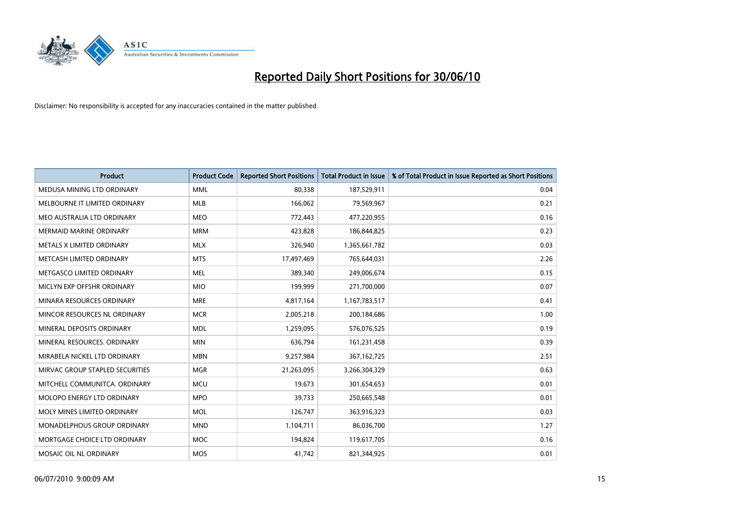![](_page_14_Picture_0.jpeg)

| <b>Product</b>                  | <b>Product Code</b> | <b>Reported Short Positions</b> | Total Product in Issue | % of Total Product in Issue Reported as Short Positions |
|---------------------------------|---------------------|---------------------------------|------------------------|---------------------------------------------------------|
| MEDUSA MINING LTD ORDINARY      | <b>MML</b>          | 80,338                          | 187,529,911            | 0.04                                                    |
| MELBOURNE IT LIMITED ORDINARY   | MLB                 | 166,062                         | 79,569,967             | 0.21                                                    |
| MEO AUSTRALIA LTD ORDINARY      | <b>MEO</b>          | 772,443                         | 477,220,955            | 0.16                                                    |
| MERMAID MARINE ORDINARY         | <b>MRM</b>          | 423,828                         | 186,844,825            | 0.23                                                    |
| METALS X LIMITED ORDINARY       | <b>MLX</b>          | 326,940                         | 1,365,661,782          | 0.03                                                    |
| METCASH LIMITED ORDINARY        | <b>MTS</b>          | 17,497,469                      | 765,644,031            | 2.26                                                    |
| METGASCO LIMITED ORDINARY       | <b>MEL</b>          | 389,340                         | 249,006,674            | 0.15                                                    |
| MICLYN EXP OFFSHR ORDINARY      | <b>MIO</b>          | 199,999                         | 271,700,000            | 0.07                                                    |
| MINARA RESOURCES ORDINARY       | <b>MRE</b>          | 4,817,164                       | 1,167,783,517          | 0.41                                                    |
| MINCOR RESOURCES NL ORDINARY    | <b>MCR</b>          | 2,005,218                       | 200,184,686            | 1.00                                                    |
| MINERAL DEPOSITS ORDINARY       | <b>MDL</b>          | 1,259,095                       | 576,076,525            | 0.19                                                    |
| MINERAL RESOURCES, ORDINARY     | <b>MIN</b>          | 636,794                         | 161,231,458            | 0.39                                                    |
| MIRABELA NICKEL LTD ORDINARY    | <b>MBN</b>          | 9,257,984                       | 367, 162, 725          | 2.51                                                    |
| MIRVAC GROUP STAPLED SECURITIES | <b>MGR</b>          | 21,263,095                      | 3,266,304,329          | 0.63                                                    |
| MITCHELL COMMUNITCA, ORDINARY   | <b>MCU</b>          | 19,673                          | 301,654,653            | 0.01                                                    |
| MOLOPO ENERGY LTD ORDINARY      | <b>MPO</b>          | 39,733                          | 250,665,548            | 0.01                                                    |
| MOLY MINES LIMITED ORDINARY     | <b>MOL</b>          | 126,747                         | 363,916,323            | 0.03                                                    |
| MONADELPHOUS GROUP ORDINARY     | <b>MND</b>          | 1,104,711                       | 86,036,700             | 1.27                                                    |
| MORTGAGE CHOICE LTD ORDINARY    | MOC                 | 194,824                         | 119,617,705            | 0.16                                                    |
| MOSAIC OIL NL ORDINARY          | <b>MOS</b>          | 41,742                          | 821,344,925            | 0.01                                                    |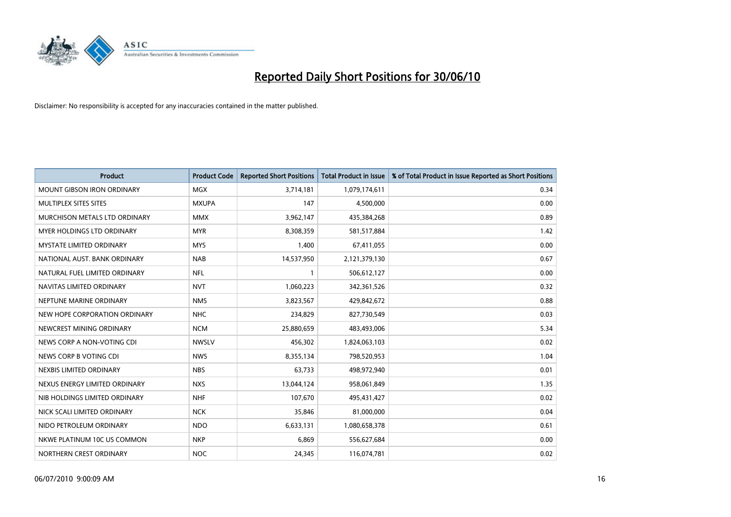![](_page_15_Picture_0.jpeg)

| <b>Product</b>                    | <b>Product Code</b> | <b>Reported Short Positions</b> | Total Product in Issue | % of Total Product in Issue Reported as Short Positions |
|-----------------------------------|---------------------|---------------------------------|------------------------|---------------------------------------------------------|
| <b>MOUNT GIBSON IRON ORDINARY</b> | <b>MGX</b>          | 3,714,181                       | 1,079,174,611          | 0.34                                                    |
| MULTIPLEX SITES SITES             | <b>MXUPA</b>        | 147                             | 4,500,000              | 0.00                                                    |
| MURCHISON METALS LTD ORDINARY     | <b>MMX</b>          | 3,962,147                       | 435,384,268            | 0.89                                                    |
| <b>MYER HOLDINGS LTD ORDINARY</b> | <b>MYR</b>          | 8,308,359                       | 581,517,884            | 1.42                                                    |
| <b>MYSTATE LIMITED ORDINARY</b>   | <b>MYS</b>          | 1,400                           | 67,411,055             | 0.00                                                    |
| NATIONAL AUST. BANK ORDINARY      | <b>NAB</b>          | 14,537,950                      | 2,121,379,130          | 0.67                                                    |
| NATURAL FUEL LIMITED ORDINARY     | <b>NFL</b>          |                                 | 506,612,127            | 0.00                                                    |
| NAVITAS LIMITED ORDINARY          | <b>NVT</b>          | 1,060,223                       | 342,361,526            | 0.32                                                    |
| NEPTUNE MARINE ORDINARY           | <b>NMS</b>          | 3,823,567                       | 429,842,672            | 0.88                                                    |
| NEW HOPE CORPORATION ORDINARY     | <b>NHC</b>          | 234,829                         | 827,730,549            | 0.03                                                    |
| NEWCREST MINING ORDINARY          | <b>NCM</b>          | 25,880,659                      | 483,493,006            | 5.34                                                    |
| NEWS CORP A NON-VOTING CDI        | <b>NWSLV</b>        | 456,302                         | 1,824,063,103          | 0.02                                                    |
| NEWS CORP B VOTING CDI            | <b>NWS</b>          | 8,355,134                       | 798,520,953            | 1.04                                                    |
| NEXBIS LIMITED ORDINARY           | <b>NBS</b>          | 63,733                          | 498,972,940            | 0.01                                                    |
| NEXUS ENERGY LIMITED ORDINARY     | <b>NXS</b>          | 13,044,124                      | 958,061,849            | 1.35                                                    |
| NIB HOLDINGS LIMITED ORDINARY     | <b>NHF</b>          | 107,670                         | 495,431,427            | 0.02                                                    |
| NICK SCALI LIMITED ORDINARY       | <b>NCK</b>          | 35,846                          | 81,000,000             | 0.04                                                    |
| NIDO PETROLEUM ORDINARY           | <b>NDO</b>          | 6,633,131                       | 1,080,658,378          | 0.61                                                    |
| NKWE PLATINUM 10C US COMMON       | <b>NKP</b>          | 6,869                           | 556,627,684            | 0.00                                                    |
| NORTHERN CREST ORDINARY           | NOC                 | 24,345                          | 116,074,781            | 0.02                                                    |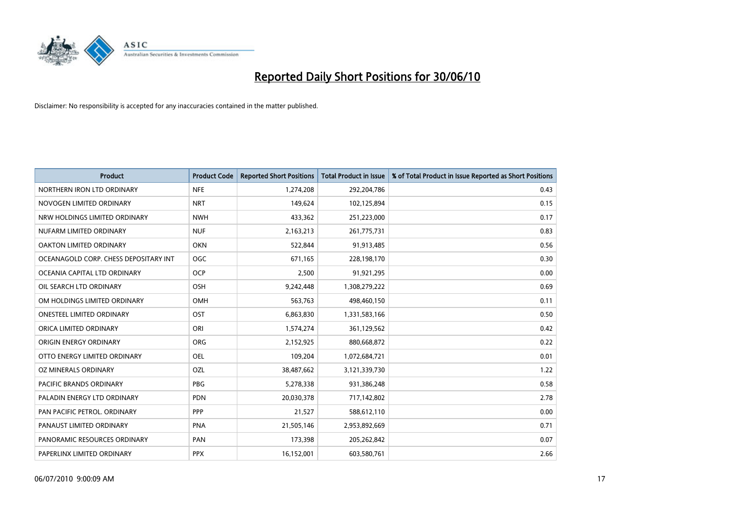![](_page_16_Picture_0.jpeg)

| <b>Product</b>                        | <b>Product Code</b> | <b>Reported Short Positions</b> | <b>Total Product in Issue</b> | % of Total Product in Issue Reported as Short Positions |
|---------------------------------------|---------------------|---------------------------------|-------------------------------|---------------------------------------------------------|
| NORTHERN IRON LTD ORDINARY            | <b>NFE</b>          | 1,274,208                       | 292,204,786                   | 0.43                                                    |
| NOVOGEN LIMITED ORDINARY              | <b>NRT</b>          | 149,624                         | 102,125,894                   | 0.15                                                    |
| NRW HOLDINGS LIMITED ORDINARY         | <b>NWH</b>          | 433,362                         | 251,223,000                   | 0.17                                                    |
| NUFARM LIMITED ORDINARY               | <b>NUF</b>          | 2,163,213                       | 261,775,731                   | 0.83                                                    |
| OAKTON LIMITED ORDINARY               | <b>OKN</b>          | 522,844                         | 91,913,485                    | 0.56                                                    |
| OCEANAGOLD CORP. CHESS DEPOSITARY INT | <b>OGC</b>          | 671,165                         | 228,198,170                   | 0.30                                                    |
| OCEANIA CAPITAL LTD ORDINARY          | <b>OCP</b>          | 2,500                           | 91,921,295                    | 0.00                                                    |
| OIL SEARCH LTD ORDINARY               | <b>OSH</b>          | 9,242,448                       | 1,308,279,222                 | 0.69                                                    |
| OM HOLDINGS LIMITED ORDINARY          | <b>OMH</b>          | 563,763                         | 498,460,150                   | 0.11                                                    |
| <b>ONESTEEL LIMITED ORDINARY</b>      | <b>OST</b>          | 6,863,830                       | 1,331,583,166                 | 0.50                                                    |
| ORICA LIMITED ORDINARY                | ORI                 | 1,574,274                       | 361,129,562                   | 0.42                                                    |
| <b>ORIGIN ENERGY ORDINARY</b>         | <b>ORG</b>          | 2,152,925                       | 880,668,872                   | 0.22                                                    |
| OTTO ENERGY LIMITED ORDINARY          | <b>OEL</b>          | 109,204                         | 1,072,684,721                 | 0.01                                                    |
| OZ MINERALS ORDINARY                  | OZL                 | 38,487,662                      | 3,121,339,730                 | 1.22                                                    |
| <b>PACIFIC BRANDS ORDINARY</b>        | PBG                 | 5,278,338                       | 931,386,248                   | 0.58                                                    |
| PALADIN ENERGY LTD ORDINARY           | <b>PDN</b>          | 20,030,378                      | 717,142,802                   | 2.78                                                    |
| PAN PACIFIC PETROL. ORDINARY          | PPP                 | 21,527                          | 588,612,110                   | 0.00                                                    |
| PANAUST LIMITED ORDINARY              | <b>PNA</b>          | 21,505,146                      | 2,953,892,669                 | 0.71                                                    |
| PANORAMIC RESOURCES ORDINARY          | PAN                 | 173,398                         | 205,262,842                   | 0.07                                                    |
| PAPERLINX LIMITED ORDINARY            | <b>PPX</b>          | 16,152,001                      | 603,580,761                   | 2.66                                                    |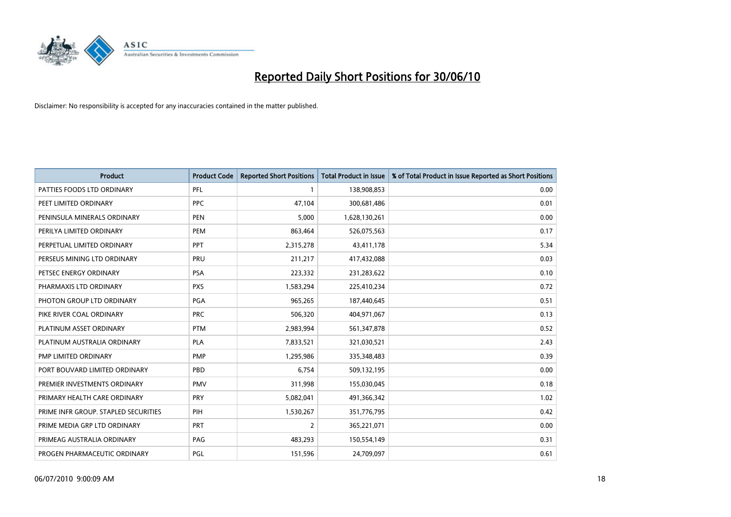![](_page_17_Picture_0.jpeg)

| <b>Product</b>                       | <b>Product Code</b> | <b>Reported Short Positions</b> | <b>Total Product in Issue</b> | % of Total Product in Issue Reported as Short Positions |
|--------------------------------------|---------------------|---------------------------------|-------------------------------|---------------------------------------------------------|
| PATTIES FOODS LTD ORDINARY           | PFL                 |                                 | 138,908,853                   | 0.00                                                    |
| PEET LIMITED ORDINARY                | <b>PPC</b>          | 47,104                          | 300,681,486                   | 0.01                                                    |
| PENINSULA MINERALS ORDINARY          | <b>PEN</b>          | 5,000                           | 1,628,130,261                 | 0.00                                                    |
| PERILYA LIMITED ORDINARY             | PEM                 | 863,464                         | 526,075,563                   | 0.17                                                    |
| PERPETUAL LIMITED ORDINARY           | <b>PPT</b>          | 2,315,278                       | 43,411,178                    | 5.34                                                    |
| PERSEUS MINING LTD ORDINARY          | PRU                 | 211,217                         | 417,432,088                   | 0.03                                                    |
| PETSEC ENERGY ORDINARY               | <b>PSA</b>          | 223,332                         | 231,283,622                   | 0.10                                                    |
| PHARMAXIS LTD ORDINARY               | <b>PXS</b>          | 1,583,294                       | 225,410,234                   | 0.72                                                    |
| PHOTON GROUP LTD ORDINARY            | PGA                 | 965,265                         | 187,440,645                   | 0.51                                                    |
| PIKE RIVER COAL ORDINARY             | <b>PRC</b>          | 506,320                         | 404,971,067                   | 0.13                                                    |
| PLATINUM ASSET ORDINARY              | <b>PTM</b>          | 2,983,994                       | 561,347,878                   | 0.52                                                    |
| PLATINUM AUSTRALIA ORDINARY          | <b>PLA</b>          | 7,833,521                       | 321,030,521                   | 2.43                                                    |
| PMP LIMITED ORDINARY                 | <b>PMP</b>          | 1,295,986                       | 335,348,483                   | 0.39                                                    |
| PORT BOUVARD LIMITED ORDINARY        | PBD                 | 6,754                           | 509,132,195                   | 0.00                                                    |
| PREMIER INVESTMENTS ORDINARY         | <b>PMV</b>          | 311,998                         | 155,030,045                   | 0.18                                                    |
| PRIMARY HEALTH CARE ORDINARY         | <b>PRY</b>          | 5,082,041                       | 491,366,342                   | 1.02                                                    |
| PRIME INFR GROUP. STAPLED SECURITIES | PIH                 | 1,530,267                       | 351,776,795                   | 0.42                                                    |
| PRIME MEDIA GRP LTD ORDINARY         | <b>PRT</b>          | $\overline{2}$                  | 365,221,071                   | 0.00                                                    |
| PRIMEAG AUSTRALIA ORDINARY           | PAG                 | 483,293                         | 150,554,149                   | 0.31                                                    |
| PROGEN PHARMACEUTIC ORDINARY         | PGL                 | 151,596                         | 24,709,097                    | 0.61                                                    |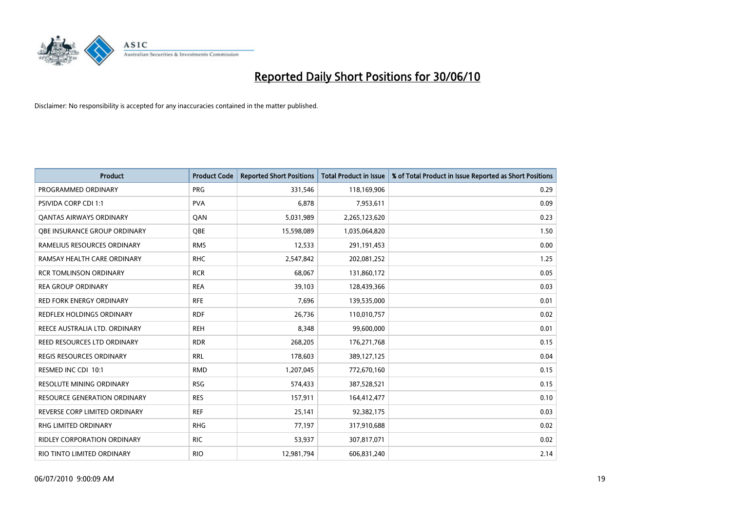![](_page_18_Picture_0.jpeg)

| <b>Product</b>                      | <b>Product Code</b> | <b>Reported Short Positions</b> | <b>Total Product in Issue</b> | % of Total Product in Issue Reported as Short Positions |
|-------------------------------------|---------------------|---------------------------------|-------------------------------|---------------------------------------------------------|
| PROGRAMMED ORDINARY                 | <b>PRG</b>          | 331.546                         | 118,169,906                   | 0.29                                                    |
| <b>PSIVIDA CORP CDI 1:1</b>         | <b>PVA</b>          | 6,878                           | 7,953,611                     | 0.09                                                    |
| QANTAS AIRWAYS ORDINARY             | QAN                 | 5,031,989                       | 2,265,123,620                 | 0.23                                                    |
| <b>OBE INSURANCE GROUP ORDINARY</b> | <b>OBE</b>          | 15,598,089                      | 1,035,064,820                 | 1.50                                                    |
| RAMELIUS RESOURCES ORDINARY         | <b>RMS</b>          | 12,533                          | 291,191,453                   | 0.00                                                    |
| RAMSAY HEALTH CARE ORDINARY         | <b>RHC</b>          | 2,547,842                       | 202,081,252                   | 1.25                                                    |
| <b>RCR TOMLINSON ORDINARY</b>       | <b>RCR</b>          | 68,067                          | 131,860,172                   | 0.05                                                    |
| <b>REA GROUP ORDINARY</b>           | <b>REA</b>          | 39.103                          | 128,439,366                   | 0.03                                                    |
| RED FORK ENERGY ORDINARY            | <b>RFE</b>          | 7,696                           | 139,535,000                   | 0.01                                                    |
| <b>REDFLEX HOLDINGS ORDINARY</b>    | <b>RDF</b>          | 26,736                          | 110,010,757                   | 0.02                                                    |
| REECE AUSTRALIA LTD. ORDINARY       | <b>REH</b>          | 8,348                           | 99,600,000                    | 0.01                                                    |
| REED RESOURCES LTD ORDINARY         | <b>RDR</b>          | 268,205                         | 176,271,768                   | 0.15                                                    |
| <b>REGIS RESOURCES ORDINARY</b>     | <b>RRL</b>          | 178,603                         | 389,127,125                   | 0.04                                                    |
| RESMED INC CDI 10:1                 | <b>RMD</b>          | 1,207,045                       | 772,670,160                   | 0.15                                                    |
| <b>RESOLUTE MINING ORDINARY</b>     | <b>RSG</b>          | 574,433                         | 387,528,521                   | 0.15                                                    |
| <b>RESOURCE GENERATION ORDINARY</b> | <b>RES</b>          | 157,911                         | 164,412,477                   | 0.10                                                    |
| REVERSE CORP LIMITED ORDINARY       | <b>REF</b>          | 25,141                          | 92,382,175                    | 0.03                                                    |
| <b>RHG LIMITED ORDINARY</b>         | <b>RHG</b>          | 77,197                          | 317,910,688                   | 0.02                                                    |
| <b>RIDLEY CORPORATION ORDINARY</b>  | <b>RIC</b>          | 53,937                          | 307,817,071                   | 0.02                                                    |
| RIO TINTO LIMITED ORDINARY          | <b>RIO</b>          | 12,981,794                      | 606,831,240                   | 2.14                                                    |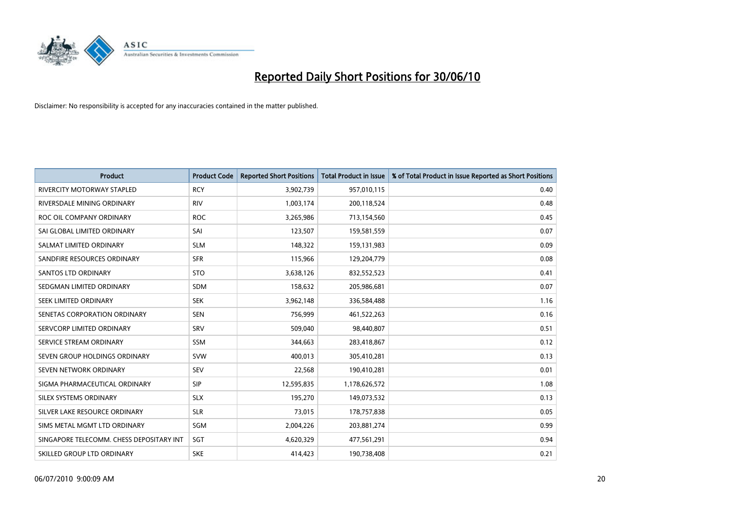![](_page_19_Picture_0.jpeg)

| <b>Product</b>                           | <b>Product Code</b> | <b>Reported Short Positions</b> | <b>Total Product in Issue</b> | % of Total Product in Issue Reported as Short Positions |
|------------------------------------------|---------------------|---------------------------------|-------------------------------|---------------------------------------------------------|
| <b>RIVERCITY MOTORWAY STAPLED</b>        | <b>RCY</b>          | 3,902,739                       | 957,010,115                   | 0.40                                                    |
| RIVERSDALE MINING ORDINARY               | <b>RIV</b>          | 1,003,174                       | 200,118,524                   | 0.48                                                    |
| ROC OIL COMPANY ORDINARY                 | <b>ROC</b>          | 3,265,986                       | 713,154,560                   | 0.45                                                    |
| SAI GLOBAL LIMITED ORDINARY              | SAI                 | 123,507                         | 159,581,559                   | 0.07                                                    |
| SALMAT LIMITED ORDINARY                  | <b>SLM</b>          | 148,322                         | 159,131,983                   | 0.09                                                    |
| SANDFIRE RESOURCES ORDINARY              | <b>SFR</b>          | 115,966                         | 129,204,779                   | 0.08                                                    |
| <b>SANTOS LTD ORDINARY</b>               | <b>STO</b>          | 3,638,126                       | 832,552,523                   | 0.41                                                    |
| SEDGMAN LIMITED ORDINARY                 | <b>SDM</b>          | 158,632                         | 205,986,681                   | 0.07                                                    |
| SEEK LIMITED ORDINARY                    | <b>SEK</b>          | 3,962,148                       | 336,584,488                   | 1.16                                                    |
| SENETAS CORPORATION ORDINARY             | <b>SEN</b>          | 756,999                         | 461,522,263                   | 0.16                                                    |
| SERVCORP LIMITED ORDINARY                | SRV                 | 509,040                         | 98,440,807                    | 0.51                                                    |
| SERVICE STREAM ORDINARY                  | <b>SSM</b>          | 344,663                         | 283,418,867                   | 0.12                                                    |
| SEVEN GROUP HOLDINGS ORDINARY            | <b>SVW</b>          | 400,013                         | 305,410,281                   | 0.13                                                    |
| SEVEN NETWORK ORDINARY                   | <b>SEV</b>          | 22,568                          | 190,410,281                   | 0.01                                                    |
| SIGMA PHARMACEUTICAL ORDINARY            | <b>SIP</b>          | 12,595,835                      | 1,178,626,572                 | 1.08                                                    |
| SILEX SYSTEMS ORDINARY                   | <b>SLX</b>          | 195,270                         | 149,073,532                   | 0.13                                                    |
| SILVER LAKE RESOURCE ORDINARY            | <b>SLR</b>          | 73,015                          | 178,757,838                   | 0.05                                                    |
| SIMS METAL MGMT LTD ORDINARY             | SGM                 | 2,004,226                       | 203,881,274                   | 0.99                                                    |
| SINGAPORE TELECOMM. CHESS DEPOSITARY INT | SGT                 | 4,620,329                       | 477,561,291                   | 0.94                                                    |
| SKILLED GROUP LTD ORDINARY               | <b>SKE</b>          | 414,423                         | 190,738,408                   | 0.21                                                    |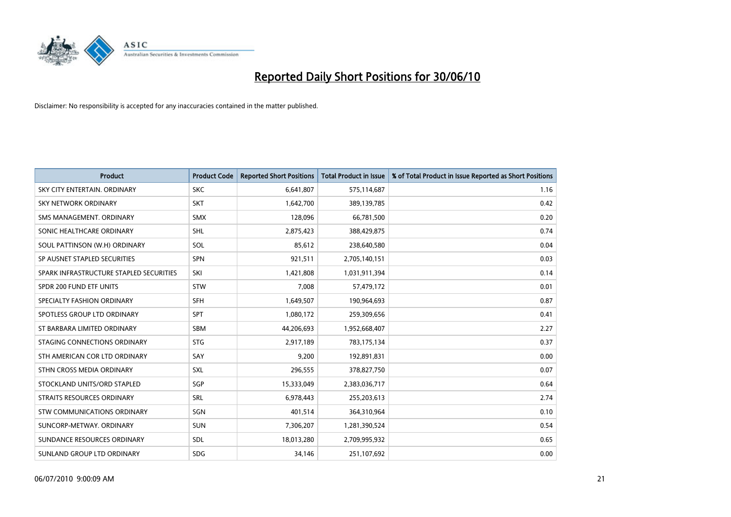![](_page_20_Picture_0.jpeg)

| <b>Product</b>                          | <b>Product Code</b> | <b>Reported Short Positions</b> | <b>Total Product in Issue</b> | % of Total Product in Issue Reported as Short Positions |
|-----------------------------------------|---------------------|---------------------------------|-------------------------------|---------------------------------------------------------|
| SKY CITY ENTERTAIN, ORDINARY            | <b>SKC</b>          | 6,641,807                       | 575,114,687                   | 1.16                                                    |
| SKY NETWORK ORDINARY                    | <b>SKT</b>          | 1,642,700                       | 389,139,785                   | 0.42                                                    |
| SMS MANAGEMENT, ORDINARY                | <b>SMX</b>          | 128,096                         | 66,781,500                    | 0.20                                                    |
| SONIC HEALTHCARE ORDINARY               | <b>SHL</b>          | 2,875,423                       | 388,429,875                   | 0.74                                                    |
| SOUL PATTINSON (W.H) ORDINARY           | SOL                 | 85,612                          | 238,640,580                   | 0.04                                                    |
| SP AUSNET STAPLED SECURITIES            | <b>SPN</b>          | 921,511                         | 2,705,140,151                 | 0.03                                                    |
| SPARK INFRASTRUCTURE STAPLED SECURITIES | SKI                 | 1,421,808                       | 1,031,911,394                 | 0.14                                                    |
| SPDR 200 FUND ETF UNITS                 | <b>STW</b>          | 7,008                           | 57,479,172                    | 0.01                                                    |
| SPECIALTY FASHION ORDINARY              | SFH                 | 1,649,507                       | 190,964,693                   | 0.87                                                    |
| SPOTLESS GROUP LTD ORDINARY             | <b>SPT</b>          | 1,080,172                       | 259,309,656                   | 0.41                                                    |
| ST BARBARA LIMITED ORDINARY             | <b>SBM</b>          | 44,206,693                      | 1,952,668,407                 | 2.27                                                    |
| STAGING CONNECTIONS ORDINARY            | <b>STG</b>          | 2,917,189                       | 783,175,134                   | 0.37                                                    |
| STH AMERICAN COR LTD ORDINARY           | SAY                 | 9,200                           | 192,891,831                   | 0.00                                                    |
| STHN CROSS MEDIA ORDINARY               | SXL                 | 296,555                         | 378,827,750                   | 0.07                                                    |
| STOCKLAND UNITS/ORD STAPLED             | SGP                 | 15,333,049                      | 2,383,036,717                 | 0.64                                                    |
| STRAITS RESOURCES ORDINARY              | SRL                 | 6,978,443                       | 255,203,613                   | 2.74                                                    |
| STW COMMUNICATIONS ORDINARY             | SGN                 | 401,514                         | 364,310,964                   | 0.10                                                    |
| SUNCORP-METWAY, ORDINARY                | <b>SUN</b>          | 7,306,207                       | 1,281,390,524                 | 0.54                                                    |
| SUNDANCE RESOURCES ORDINARY             | <b>SDL</b>          | 18,013,280                      | 2,709,995,932                 | 0.65                                                    |
| SUNLAND GROUP LTD ORDINARY              | <b>SDG</b>          | 34,146                          | 251,107,692                   | 0.00                                                    |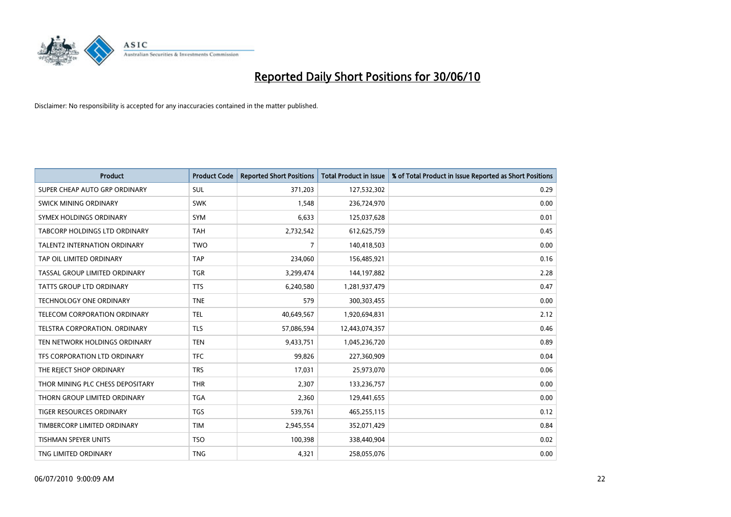![](_page_21_Picture_0.jpeg)

| <b>Product</b>                      | <b>Product Code</b> | <b>Reported Short Positions</b> | Total Product in Issue | % of Total Product in Issue Reported as Short Positions |
|-------------------------------------|---------------------|---------------------------------|------------------------|---------------------------------------------------------|
| SUPER CHEAP AUTO GRP ORDINARY       | <b>SUL</b>          | 371,203                         | 127,532,302            | 0.29                                                    |
| SWICK MINING ORDINARY               | <b>SWK</b>          | 1,548                           | 236,724,970            | 0.00                                                    |
| SYMEX HOLDINGS ORDINARY             | <b>SYM</b>          | 6.633                           | 125,037,628            | 0.01                                                    |
| TABCORP HOLDINGS LTD ORDINARY       | <b>TAH</b>          | 2,732,542                       | 612,625,759            | 0.45                                                    |
| <b>TALENT2 INTERNATION ORDINARY</b> | <b>TWO</b>          | $\overline{7}$                  | 140,418,503            | 0.00                                                    |
| TAP OIL LIMITED ORDINARY            | <b>TAP</b>          | 234,060                         | 156,485,921            | 0.16                                                    |
| TASSAL GROUP LIMITED ORDINARY       | <b>TGR</b>          | 3,299,474                       | 144,197,882            | 2.28                                                    |
| TATTS GROUP LTD ORDINARY            | <b>TTS</b>          | 6,240,580                       | 1,281,937,479          | 0.47                                                    |
| <b>TECHNOLOGY ONE ORDINARY</b>      | <b>TNE</b>          | 579                             | 300, 303, 455          | 0.00                                                    |
| TELECOM CORPORATION ORDINARY        | <b>TEL</b>          | 40,649,567                      | 1,920,694,831          | 2.12                                                    |
| TELSTRA CORPORATION. ORDINARY       | <b>TLS</b>          | 57,086,594                      | 12,443,074,357         | 0.46                                                    |
| TEN NETWORK HOLDINGS ORDINARY       | <b>TEN</b>          | 9,433,751                       | 1,045,236,720          | 0.89                                                    |
| TFS CORPORATION LTD ORDINARY        | <b>TFC</b>          | 99,826                          | 227,360,909            | 0.04                                                    |
| THE REJECT SHOP ORDINARY            | <b>TRS</b>          | 17,031                          | 25,973,070             | 0.06                                                    |
| THOR MINING PLC CHESS DEPOSITARY    | <b>THR</b>          | 2,307                           | 133,236,757            | 0.00                                                    |
| THORN GROUP LIMITED ORDINARY        | <b>TGA</b>          | 2,360                           | 129,441,655            | 0.00                                                    |
| TIGER RESOURCES ORDINARY            | <b>TGS</b>          | 539,761                         | 465,255,115            | 0.12                                                    |
| TIMBERCORP LIMITED ORDINARY         | <b>TIM</b>          | 2,945,554                       | 352,071,429            | 0.84                                                    |
| <b>TISHMAN SPEYER UNITS</b>         | <b>TSO</b>          | 100,398                         | 338,440,904            | 0.02                                                    |
| TNG LIMITED ORDINARY                | <b>TNG</b>          | 4,321                           | 258,055,076            | 0.00                                                    |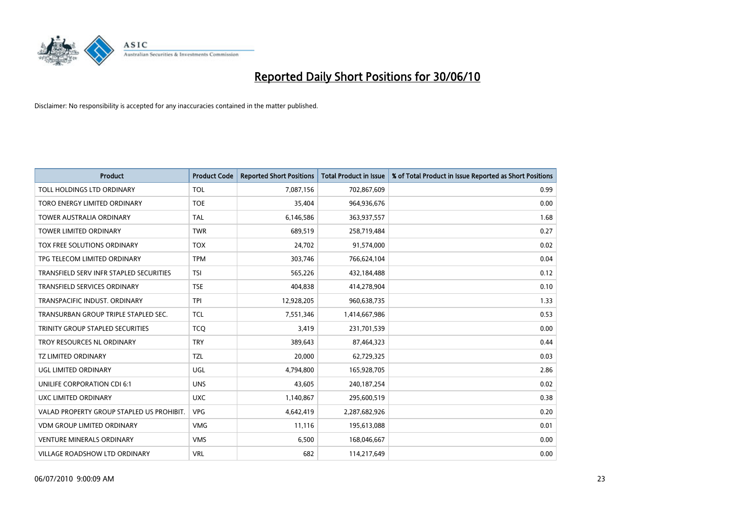![](_page_22_Picture_0.jpeg)

| <b>Product</b>                            | <b>Product Code</b> | <b>Reported Short Positions</b> | <b>Total Product in Issue</b> | % of Total Product in Issue Reported as Short Positions |
|-------------------------------------------|---------------------|---------------------------------|-------------------------------|---------------------------------------------------------|
| TOLL HOLDINGS LTD ORDINARY                | <b>TOL</b>          | 7,087,156                       | 702,867,609                   | 0.99                                                    |
| TORO ENERGY LIMITED ORDINARY              | <b>TOE</b>          | 35,404                          | 964,936,676                   | 0.00                                                    |
| <b>TOWER AUSTRALIA ORDINARY</b>           | <b>TAL</b>          | 6,146,586                       | 363,937,557                   | 1.68                                                    |
| TOWER LIMITED ORDINARY                    | <b>TWR</b>          | 689,519                         | 258,719,484                   | 0.27                                                    |
| TOX FREE SOLUTIONS ORDINARY               | <b>TOX</b>          | 24,702                          | 91,574,000                    | 0.02                                                    |
| TPG TELECOM LIMITED ORDINARY              | <b>TPM</b>          | 303,746                         | 766,624,104                   | 0.04                                                    |
| TRANSFIELD SERV INFR STAPLED SECURITIES   | <b>TSI</b>          | 565,226                         | 432,184,488                   | 0.12                                                    |
| TRANSFIELD SERVICES ORDINARY              | <b>TSE</b>          | 404,838                         | 414,278,904                   | 0.10                                                    |
| TRANSPACIFIC INDUST, ORDINARY             | <b>TPI</b>          | 12,928,205                      | 960,638,735                   | 1.33                                                    |
| TRANSURBAN GROUP TRIPLE STAPLED SEC.      | <b>TCL</b>          | 7,551,346                       | 1,414,667,986                 | 0.53                                                    |
| TRINITY GROUP STAPLED SECURITIES          | <b>TCO</b>          | 3,419                           | 231,701,539                   | 0.00                                                    |
| TROY RESOURCES NL ORDINARY                | <b>TRY</b>          | 389,643                         | 87,464,323                    | 0.44                                                    |
| <b>TZ LIMITED ORDINARY</b>                | <b>TZL</b>          | 20,000                          | 62,729,325                    | 0.03                                                    |
| UGL LIMITED ORDINARY                      | UGL                 | 4,794,800                       | 165,928,705                   | 2.86                                                    |
| UNILIFE CORPORATION CDI 6:1               | <b>UNS</b>          | 43.605                          | 240, 187, 254                 | 0.02                                                    |
| UXC LIMITED ORDINARY                      | <b>UXC</b>          | 1,140,867                       | 295,600,519                   | 0.38                                                    |
| VALAD PROPERTY GROUP STAPLED US PROHIBIT. | <b>VPG</b>          | 4,642,419                       | 2,287,682,926                 | 0.20                                                    |
| <b>VDM GROUP LIMITED ORDINARY</b>         | <b>VMG</b>          | 11,116                          | 195,613,088                   | 0.01                                                    |
| <b>VENTURE MINERALS ORDINARY</b>          | <b>VMS</b>          | 6,500                           | 168,046,667                   | 0.00                                                    |
| VILLAGE ROADSHOW LTD ORDINARY             | <b>VRL</b>          | 682                             | 114,217,649                   | 0.00                                                    |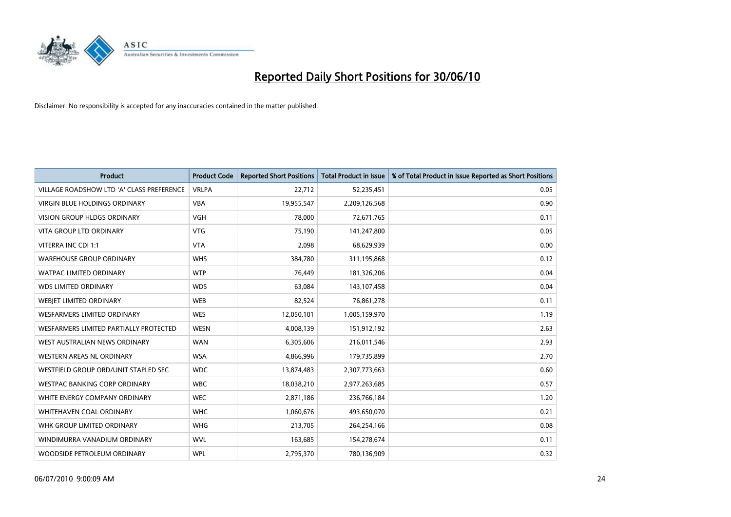![](_page_23_Picture_0.jpeg)

| <b>Product</b>                            | <b>Product Code</b> | <b>Reported Short Positions</b> | <b>Total Product in Issue</b> | % of Total Product in Issue Reported as Short Positions |
|-------------------------------------------|---------------------|---------------------------------|-------------------------------|---------------------------------------------------------|
| VILLAGE ROADSHOW LTD 'A' CLASS PREFERENCE | <b>VRLPA</b>        | 22,712                          | 52,235,451                    | 0.05                                                    |
| VIRGIN BLUE HOLDINGS ORDINARY             | <b>VBA</b>          | 19,955,547                      | 2,209,126,568                 | 0.90                                                    |
| <b>VISION GROUP HLDGS ORDINARY</b>        | <b>VGH</b>          | 78,000                          | 72,671,765                    | 0.11                                                    |
| VITA GROUP LTD ORDINARY                   | <b>VTG</b>          | 75,190                          | 141,247,800                   | 0.05                                                    |
| VITERRA INC CDI 1:1                       | <b>VTA</b>          | 2,098                           | 68,629,939                    | 0.00                                                    |
| <b>WAREHOUSE GROUP ORDINARY</b>           | <b>WHS</b>          | 384,780                         | 311,195,868                   | 0.12                                                    |
| <b>WATPAC LIMITED ORDINARY</b>            | <b>WTP</b>          | 76,449                          | 181,326,206                   | 0.04                                                    |
| <b>WDS LIMITED ORDINARY</b>               | <b>WDS</b>          | 63,084                          | 143,107,458                   | 0.04                                                    |
| WEBIET LIMITED ORDINARY                   | <b>WEB</b>          | 82,524                          | 76,861,278                    | 0.11                                                    |
| <b>WESFARMERS LIMITED ORDINARY</b>        | <b>WES</b>          | 12,050,101                      | 1,005,159,970                 | 1.19                                                    |
| WESFARMERS LIMITED PARTIALLY PROTECTED    | <b>WESN</b>         | 4,008,139                       | 151,912,192                   | 2.63                                                    |
| WEST AUSTRALIAN NEWS ORDINARY             | <b>WAN</b>          | 6,305,606                       | 216,011,546                   | 2.93                                                    |
| WESTERN AREAS NL ORDINARY                 | <b>WSA</b>          | 4,866,996                       | 179,735,899                   | 2.70                                                    |
| WESTFIELD GROUP ORD/UNIT STAPLED SEC      | <b>WDC</b>          | 13,874,483                      | 2,307,773,663                 | 0.60                                                    |
| <b>WESTPAC BANKING CORP ORDINARY</b>      | <b>WBC</b>          | 18,038,210                      | 2,977,263,685                 | 0.57                                                    |
| WHITE ENERGY COMPANY ORDINARY             | <b>WEC</b>          | 2,871,186                       | 236,766,184                   | 1.20                                                    |
| WHITEHAVEN COAL ORDINARY                  | <b>WHC</b>          | 1,060,676                       | 493,650,070                   | 0.21                                                    |
| WHK GROUP LIMITED ORDINARY                | <b>WHG</b>          | 213,705                         | 264,254,166                   | 0.08                                                    |
| WINDIMURRA VANADIUM ORDINARY              | <b>WVL</b>          | 163,685                         | 154,278,674                   | 0.11                                                    |
| WOODSIDE PETROLEUM ORDINARY               | <b>WPL</b>          | 2,795,370                       | 780,136,909                   | 0.32                                                    |